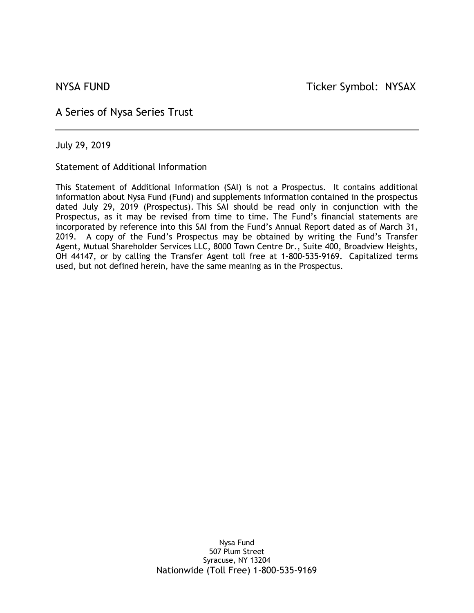A Series of Nysa Series Trust

July 29, 2019

Statement of Additional Information

This Statement of Additional Information (SAI) is not a Prospectus. It contains additional information about Nysa Fund (Fund) and supplements information contained in the prospectus dated July 29, 2019 (Prospectus). This SAI should be read only in conjunction with the Prospectus, as it may be revised from time to time. The Fund's financial statements are incorporated by reference into this SAI from the Fund's Annual Report dated as of March 31, 2019. A copy of the Fund's Prospectus may be obtained by writing the Fund's Transfer Agent, Mutual Shareholder Services LLC, 8000 Town Centre Dr., Suite 400, Broadview Heights, OH 44147, or by calling the Transfer Agent toll free at 1-800-535-9169. Capitalized terms used, but not defined herein, have the same meaning as in the Prospectus.

> Nysa Fund 507 Plum Street Syracuse, NY 13204 Nationwide (Toll Free) 1-800-535-9169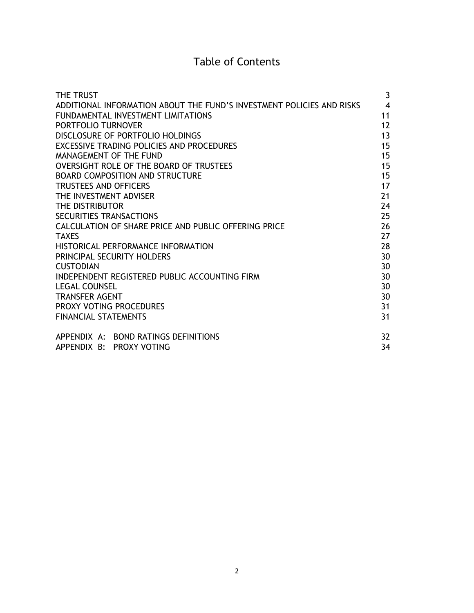# Table of Contents

| <b>THE TRUST</b>                                                      | 3  |
|-----------------------------------------------------------------------|----|
| ADDITIONAL INFORMATION ABOUT THE FUND'S INVESTMENT POLICIES AND RISKS | 4  |
| FUNDAMENTAL INVESTMENT LIMITATIONS                                    | 11 |
| PORTFOLIO TURNOVER                                                    | 12 |
| DISCLOSURE OF PORTEOLIO HOLDINGS                                      | 13 |
| EXCESSIVE TRADING POLICIES AND PROCEDURES                             | 15 |
| MANAGEMENT OF THE FUND                                                | 15 |
| OVERSIGHT ROLE OF THE BOARD OF TRUSTEES                               | 15 |
| <b>BOARD COMPOSITION AND STRUCTURE</b>                                | 15 |
| <b>TRUSTEES AND OFFICERS</b>                                          | 17 |
| THE INVESTMENT ADVISER                                                | 21 |
| THE DISTRIBUTOR                                                       | 24 |
| SECURITIES TRANSACTIONS                                               | 25 |
| CALCULATION OF SHARE PRICE AND PUBLIC OFFERING PRICE                  | 26 |
| <b>TAXES</b>                                                          | 27 |
| HISTORICAL PERFORMANCE INFORMATION                                    | 28 |
| <b>PRINCIPAL SECURITY HOLDERS</b>                                     | 30 |
| <b>CUSTODIAN</b>                                                      | 30 |
| INDEPENDENT REGISTERED PUBLIC ACCOUNTING FIRM                         | 30 |
| <b>LEGAL COUNSEL</b>                                                  | 30 |
| <b>TRANSFER AGENT</b>                                                 | 30 |
| PROXY VOTING PROCEDURES                                               | 31 |
| <b>FINANCIAL STATEMENTS</b>                                           | 31 |
| APPENDIX A: BOND RATINGS DEFINITIONS                                  | 32 |
| APPENDIX B: PROXY VOTING                                              | 34 |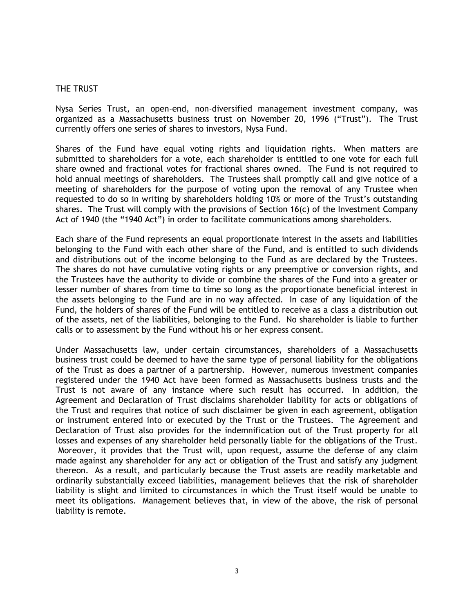#### THE TRUST

Nysa Series Trust, an open-end, non-diversified management investment company, was organized as a Massachusetts business trust on November 20, 1996 ("Trust"). The Trust currently offers one series of shares to investors, Nysa Fund.

Shares of the Fund have equal voting rights and liquidation rights. When matters are submitted to shareholders for a vote, each shareholder is entitled to one vote for each full share owned and fractional votes for fractional shares owned. The Fund is not required to hold annual meetings of shareholders. The Trustees shall promptly call and give notice of a meeting of shareholders for the purpose of voting upon the removal of any Trustee when requested to do so in writing by shareholders holding 10% or more of the Trust's outstanding shares. The Trust will comply with the provisions of Section 16(c) of the Investment Company Act of 1940 (the "1940 Act") in order to facilitate communications among shareholders.

Each share of the Fund represents an equal proportionate interest in the assets and liabilities belonging to the Fund with each other share of the Fund, and is entitled to such dividends and distributions out of the income belonging to the Fund as are declared by the Trustees. The shares do not have cumulative voting rights or any preemptive or conversion rights, and the Trustees have the authority to divide or combine the shares of the Fund into a greater or lesser number of shares from time to time so long as the proportionate beneficial interest in the assets belonging to the Fund are in no way affected. In case of any liquidation of the Fund, the holders of shares of the Fund will be entitled to receive as a class a distribution out of the assets, net of the liabilities, belonging to the Fund. No shareholder is liable to further calls or to assessment by the Fund without his or her express consent.

Under Massachusetts law, under certain circumstances, shareholders of a Massachusetts business trust could be deemed to have the same type of personal liability for the obligations of the Trust as does a partner of a partnership. However, numerous investment companies registered under the 1940 Act have been formed as Massachusetts business trusts and the Trust is not aware of any instance where such result has occurred. In addition, the Agreement and Declaration of Trust disclaims shareholder liability for acts or obligations of the Trust and requires that notice of such disclaimer be given in each agreement, obligation or instrument entered into or executed by the Trust or the Trustees. The Agreement and Declaration of Trust also provides for the indemnification out of the Trust property for all losses and expenses of any shareholder held personally liable for the obligations of the Trust. Moreover, it provides that the Trust will, upon request, assume the defense of any claim made against any shareholder for any act or obligation of the Trust and satisfy any judgment thereon. As a result, and particularly because the Trust assets are readily marketable and ordinarily substantially exceed liabilities, management believes that the risk of shareholder liability is slight and limited to circumstances in which the Trust itself would be unable to meet its obligations. Management believes that, in view of the above, the risk of personal liability is remote.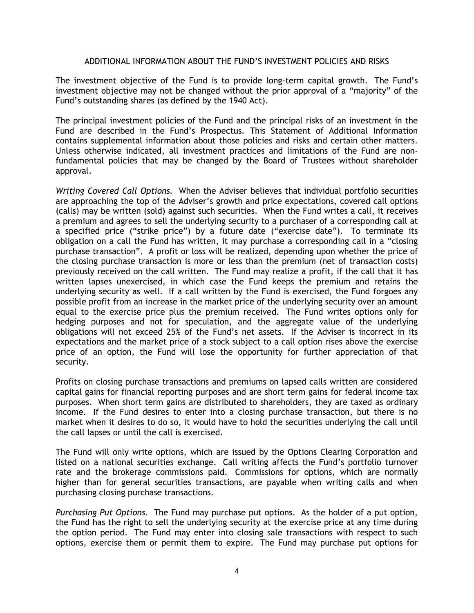#### ADDITIONAL INFORMATION ABOUT THE FUND'S INVESTMENT POLICIES AND RISKS

The investment objective of the Fund is to provide long-term capital growth. The Fund's investment objective may not be changed without the prior approval of a "majority" of the Fund's outstanding shares (as defined by the 1940 Act).

The principal investment policies of the Fund and the principal risks of an investment in the Fund are described in the Fund's Prospectus. This Statement of Additional Information contains supplemental information about those policies and risks and certain other matters. Unless otherwise indicated, all investment practices and limitations of the Fund are nonfundamental policies that may be changed by the Board of Trustees without shareholder approval.

*Writing Covered Call Options.* When the Adviser believes that individual portfolio securities are approaching the top of the Adviser's growth and price expectations, covered call options (calls) may be written (sold) against such securities. When the Fund writes a call, it receives a premium and agrees to sell the underlying security to a purchaser of a corresponding call at a specified price ("strike price") by a future date ("exercise date"). To terminate its obligation on a call the Fund has written, it may purchase a corresponding call in a "closing purchase transaction". A profit or loss will be realized, depending upon whether the price of the closing purchase transaction is more or less than the premium (net of transaction costs) previously received on the call written. The Fund may realize a profit, if the call that it has written lapses unexercised, in which case the Fund keeps the premium and retains the underlying security as well. If a call written by the Fund is exercised, the Fund forgoes any possible profit from an increase in the market price of the underlying security over an amount equal to the exercise price plus the premium received. The Fund writes options only for hedging purposes and not for speculation, and the aggregate value of the underlying obligations will not exceed 25% of the Fund's net assets. If the Adviser is incorrect in its expectations and the market price of a stock subject to a call option rises above the exercise price of an option, the Fund will lose the opportunity for further appreciation of that security.

Profits on closing purchase transactions and premiums on lapsed calls written are considered capital gains for financial reporting purposes and are short term gains for federal income tax purposes. When short term gains are distributed to shareholders, they are taxed as ordinary income. If the Fund desires to enter into a closing purchase transaction, but there is no market when it desires to do so, it would have to hold the securities underlying the call until the call lapses or until the call is exercised.

The Fund will only write options, which are issued by the Options Clearing Corporation and listed on a national securities exchange. Call writing affects the Fund's portfolio turnover rate and the brokerage commissions paid. Commissions for options, which are normally higher than for general securities transactions, are payable when writing calls and when purchasing closing purchase transactions.

*Purchasing Put Options.* The Fund may purchase put options. As the holder of a put option, the Fund has the right to sell the underlying security at the exercise price at any time during the option period. The Fund may enter into closing sale transactions with respect to such options, exercise them or permit them to expire. The Fund may purchase put options for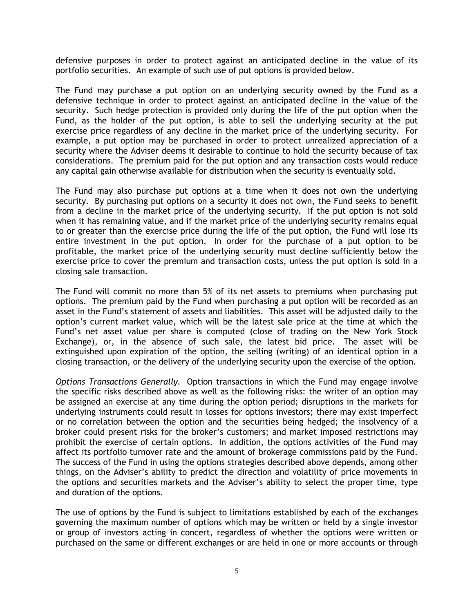defensive purposes in order to protect against an anticipated decline in the value of its portfolio securities. An example of such use of put options is provided below.

The Fund may purchase a put option on an underlying security owned by the Fund as a defensive technique in order to protect against an anticipated decline in the value of the security. Such hedge protection is provided only during the life of the put option when the Fund, as the holder of the put option, is able to sell the underlying security at the put exercise price regardless of any decline in the market price of the underlying security. For example, a put option may be purchased in order to protect unrealized appreciation of a security where the Adviser deems it desirable to continue to hold the security because of tax considerations. The premium paid for the put option and any transaction costs would reduce any capital gain otherwise available for distribution when the security is eventually sold.

The Fund may also purchase put options at a time when it does not own the underlying security. By purchasing put options on a security it does not own, the Fund seeks to benefit from a decline in the market price of the underlying security. If the put option is not sold when it has remaining value, and if the market price of the underlying security remains equal to or greater than the exercise price during the life of the put option, the Fund will lose its entire investment in the put option. In order for the purchase of a put option to be profitable, the market price of the underlying security must decline sufficiently below the exercise price to cover the premium and transaction costs, unless the put option is sold in a closing sale transaction.

The Fund will commit no more than 5% of its net assets to premiums when purchasing put options. The premium paid by the Fund when purchasing a put option will be recorded as an asset in the Fund's statement of assets and liabilities. This asset will be adjusted daily to the option's current market value, which will be the latest sale price at the time at which the Fund's net asset value per share is computed (close of trading on the New York Stock Exchange), or, in the absence of such sale, the latest bid price. The asset will be extinguished upon expiration of the option, the selling (writing) of an identical option in a closing transaction, or the delivery of the underlying security upon the exercise of the option.

*Options Transactions Generally.* Option transactions in which the Fund may engage involve the specific risks described above as well as the following risks: the writer of an option may be assigned an exercise at any time during the option period; disruptions in the markets for underlying instruments could result in losses for options investors; there may exist imperfect or no correlation between the option and the securities being hedged; the insolvency of a broker could present risks for the broker's customers; and market imposed restrictions may prohibit the exercise of certain options. In addition, the options activities of the Fund may affect its portfolio turnover rate and the amount of brokerage commissions paid by the Fund. The success of the Fund in using the options strategies described above depends, among other things, on the Adviser's ability to predict the direction and volatility of price movements in the options and securities markets and the Adviser's ability to select the proper time, type and duration of the options.

The use of options by the Fund is subject to limitations established by each of the exchanges governing the maximum number of options which may be written or held by a single investor or group of investors acting in concert, regardless of whether the options were written or purchased on the same or different exchanges or are held in one or more accounts or through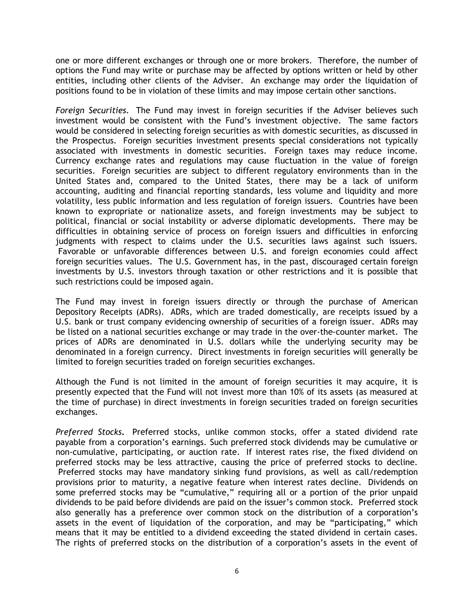one or more different exchanges or through one or more brokers. Therefore, the number of options the Fund may write or purchase may be affected by options written or held by other entities, including other clients of the Adviser. An exchange may order the liquidation of positions found to be in violation of these limits and may impose certain other sanctions.

*Foreign Securities.*The Fund may invest in foreign securities if the Adviser believes such investment would be consistent with the Fund's investment objective. The same factors would be considered in selecting foreign securities as with domestic securities, as discussed in the Prospectus. Foreign securities investment presents special considerations not typically associated with investments in domestic securities. Foreign taxes may reduce income. Currency exchange rates and regulations may cause fluctuation in the value of foreign securities. Foreign securities are subject to different regulatory environments than in the United States and, compared to the United States, there may be a lack of uniform accounting, auditing and financial reporting standards, less volume and liquidity and more volatility, less public information and less regulation of foreign issuers. Countries have been known to expropriate or nationalize assets, and foreign investments may be subject to political, financial or social instability or adverse diplomatic developments. There may be difficulties in obtaining service of process on foreign issuers and difficulties in enforcing judgments with respect to claims under the U.S. securities laws against such issuers. Favorable or unfavorable differences between U.S. and foreign economies could affect foreign securities values. The U.S. Government has, in the past, discouraged certain foreign investments by U.S. investors through taxation or other restrictions and it is possible that such restrictions could be imposed again.

The Fund may invest in foreign issuers directly or through the purchase of American Depository Receipts (ADRs). ADRs, which are traded domestically, are receipts issued by a U.S. bank or trust company evidencing ownership of securities of a foreign issuer. ADRs may be listed on a national securities exchange or may trade in the over-the-counter market. The prices of ADRs are denominated in U.S. dollars while the underlying security may be denominated in a foreign currency. Direct investments in foreign securities will generally be limited to foreign securities traded on foreign securities exchanges.

Although the Fund is not limited in the amount of foreign securities it may acquire, it is presently expected that the Fund will not invest more than 10% of its assets (as measured at the time of purchase) in direct investments in foreign securities traded on foreign securities exchanges.

*Preferred Stocks***.** Preferred stocks, unlike common stocks, offer a stated dividend rate payable from a corporation's earnings. Such preferred stock dividends may be cumulative or non-cumulative, participating, or auction rate. If interest rates rise, the fixed dividend on preferred stocks may be less attractive, causing the price of preferred stocks to decline. Preferred stocks may have mandatory sinking fund provisions, as well as call/redemption provisions prior to maturity, a negative feature when interest rates decline. Dividends on some preferred stocks may be "cumulative," requiring all or a portion of the prior unpaid dividends to be paid before dividends are paid on the issuer's common stock. Preferred stock also generally has a preference over common stock on the distribution of a corporation's assets in the event of liquidation of the corporation, and may be "participating," which means that it may be entitled to a dividend exceeding the stated dividend in certain cases. The rights of preferred stocks on the distribution of a corporation's assets in the event of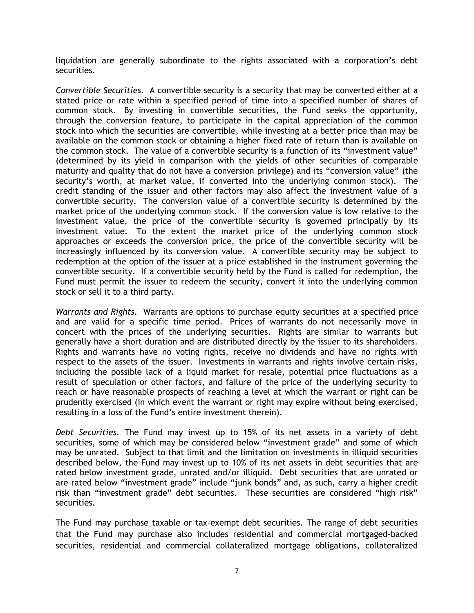liquidation are generally subordinate to the rights associated with a corporation's debt securities.

*Convertible Securities.* A convertible security is a security that may be converted either at a stated price or rate within a specified period of time into a specified number of shares of common stock. By investing in convertible securities, the Fund seeks the opportunity, through the conversion feature, to participate in the capital appreciation of the common stock into which the securities are convertible, while investing at a better price than may be available on the common stock or obtaining a higher fixed rate of return than is available on the common stock. The value of a convertible security is a function of its "investment value" (determined by its yield in comparison with the yields of other securities of comparable maturity and quality that do not have a conversion privilege) and its "conversion value" (the security's worth, at market value, if converted into the underlying common stock). The credit standing of the issuer and other factors may also affect the investment value of a convertible security. The conversion value of a convertible security is determined by the market price of the underlying common stock. If the conversion value is low relative to the investment value, the price of the convertible security is governed principally by its investment value. To the extent the market price of the underlying common stock approaches or exceeds the conversion price, the price of the convertible security will be increasingly influenced by its conversion value. A convertible security may be subject to redemption at the option of the issuer at a price established in the instrument governing the convertible security. If a convertible security held by the Fund is called for redemption, the Fund must permit the issuer to redeem the security, convert it into the underlying common stock or sell it to a third party.

*Warrants and Rights.*Warrants are options to purchase equity securities at a specified price and are valid for a specific time period. Prices of warrants do not necessarily move in concert with the prices of the underlying securities. Rights are similar to warrants but generally have a short duration and are distributed directly by the issuer to its shareholders. Rights and warrants have no voting rights, receive no dividends and have no rights with respect to the assets of the issuer. Investments in warrants and rights involve certain risks, including the possible lack of a liquid market for resale, potential price fluctuations as a result of speculation or other factors, and failure of the price of the underlying security to reach or have reasonable prospects of reaching a level at which the warrant or right can be prudently exercised (in which event the warrant or right may expire without being exercised, resulting in a loss of the Fund's entire investment therein).

*Debt Securities.* The Fund may invest up to 15% of its net assets in a variety of debt securities, some of which may be considered below "investment grade" and some of which may be unrated. Subject to that limit and the limitation on investments in illiquid securities described below, the Fund may invest up to 10% of its net assets in debt securities that are rated below investment grade, unrated and/or illiquid. Debt securities that are unrated or are rated below "investment grade" include "junk bonds" and, as such, carry a higher credit risk than "investment grade" debt securities. These securities are considered "high risk" securities.

The Fund may purchase taxable or tax-exempt debt securities. The range of debt securities that the Fund may purchase also includes residential and commercial mortgaged-backed securities, residential and commercial collateralized mortgage obligations, collateralized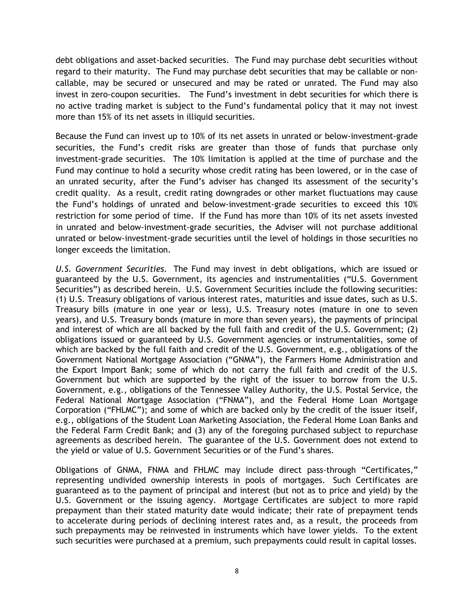debt obligations and asset-backed securities. The Fund may purchase debt securities without regard to their maturity. The Fund may purchase debt securities that may be callable or noncallable, may be secured or unsecured and may be rated or unrated. The Fund may also invest in zero-coupon securities. The Fund's investment in debt securities for which there is no active trading market is subject to the Fund's fundamental policy that it may not invest more than 15% of its net assets in illiquid securities.

Because the Fund can invest up to 10% of its net assets in unrated or below-investment-grade securities, the Fund's credit risks are greater than those of funds that purchase only investment-grade securities. The 10% limitation is applied at the time of purchase and the Fund may continue to hold a security whose credit rating has been lowered, or in the case of an unrated security, after the Fund's adviser has changed its assessment of the security's credit quality. As a result, credit rating downgrades or other market fluctuations may cause the Fund's holdings of unrated and below-investment-grade securities to exceed this 10% restriction for some period of time. If the Fund has more than 10% of its net assets invested in unrated and below-investment-grade securities, the Adviser will not purchase additional unrated or below-investment-grade securities until the level of holdings in those securities no longer exceeds the limitation.

*U.S. Government Securities.*The Fund may invest in debt obligations, which are issued or guaranteed by the U.S. Government, its agencies and instrumentalities ("U.S. Government Securities") as described herein. U.S. Government Securities include the following securities: (1) U.S. Treasury obligations of various interest rates, maturities and issue dates, such as U.S. Treasury bills (mature in one year or less), U.S. Treasury notes (mature in one to seven years), and U.S. Treasury bonds (mature in more than seven years), the payments of principal and interest of which are all backed by the full faith and credit of the U.S. Government; (2) obligations issued or guaranteed by U.S. Government agencies or instrumentalities, some of which are backed by the full faith and credit of the U.S. Government, e.g., obligations of the Government National Mortgage Association ("GNMA"), the Farmers Home Administration and the Export Import Bank; some of which do not carry the full faith and credit of the U.S. Government but which are supported by the right of the issuer to borrow from the U.S. Government, e.g., obligations of the Tennessee Valley Authority, the U.S. Postal Service, the Federal National Mortgage Association ("FNMA"), and the Federal Home Loan Mortgage Corporation ("FHLMC"); and some of which are backed only by the credit of the issuer itself, e.g., obligations of the Student Loan Marketing Association, the Federal Home Loan Banks and the Federal Farm Credit Bank; and (3) any of the foregoing purchased subject to repurchase agreements as described herein. The guarantee of the U.S. Government does not extend to the yield or value of U.S. Government Securities or of the Fund's shares.

Obligations of GNMA, FNMA and FHLMC may include direct pass-through "Certificates," representing undivided ownership interests in pools of mortgages. Such Certificates are guaranteed as to the payment of principal and interest (but not as to price and yield) by the U.S. Government or the issuing agency. Mortgage Certificates are subject to more rapid prepayment than their stated maturity date would indicate; their rate of prepayment tends to accelerate during periods of declining interest rates and, as a result, the proceeds from such prepayments may be reinvested in instruments which have lower yields. To the extent such securities were purchased at a premium, such prepayments could result in capital losses.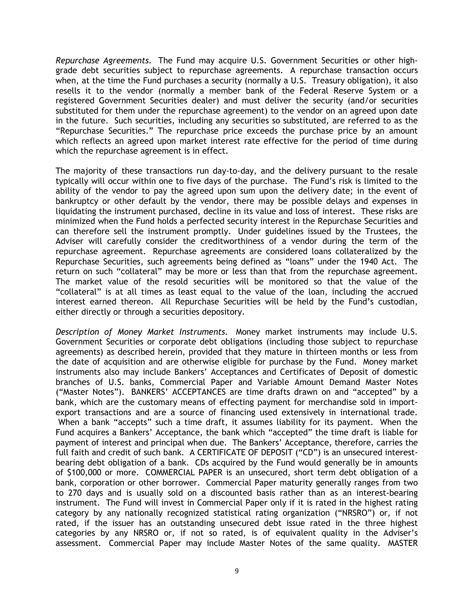*Repurchase Agreements.*The Fund may acquire U.S. Government Securities or other highgrade debt securities subject to repurchase agreements. A repurchase transaction occurs when, at the time the Fund purchases a security (normally a U.S. Treasury obligation), it also resells it to the vendor (normally a member bank of the Federal Reserve System or a registered Government Securities dealer) and must deliver the security (and/or securities substituted for them under the repurchase agreement) to the vendor on an agreed upon date in the future. Such securities, including any securities so substituted, are referred to as the "Repurchase Securities." The repurchase price exceeds the purchase price by an amount which reflects an agreed upon market interest rate effective for the period of time during which the repurchase agreement is in effect.

The majority of these transactions run day-to-day, and the delivery pursuant to the resale typically will occur within one to five days of the purchase. The Fund's risk is limited to the ability of the vendor to pay the agreed upon sum upon the delivery date; in the event of bankruptcy or other default by the vendor, there may be possible delays and expenses in liquidating the instrument purchased, decline in its value and loss of interest. These risks are minimized when the Fund holds a perfected security interest in the Repurchase Securities and can therefore sell the instrument promptly. Under guidelines issued by the Trustees, the Adviser will carefully consider the creditworthiness of a vendor during the term of the repurchase agreement. Repurchase agreements are considered loans collateralized by the Repurchase Securities, such agreements being defined as "loans" under the 1940 Act. The return on such "collateral" may be more or less than that from the repurchase agreement. The market value of the resold securities will be monitored so that the value of the "collateral" is at all times as least equal to the value of the loan, including the accrued interest earned thereon. All Repurchase Securities will be held by the Fund's custodian, either directly or through a securities depository.

*Description of Money Market Instruments.*Money market instruments may include U.S. Government Securities or corporate debt obligations (including those subject to repurchase agreements) as described herein, provided that they mature in thirteen months or less from the date of acquisition and are otherwise eligible for purchase by the Fund. Money market instruments also may include Bankers' Acceptances and Certificates of Deposit of domestic branches of U.S. banks, Commercial Paper and Variable Amount Demand Master Notes ("Master Notes"). BANKERS' ACCEPTANCES are time drafts drawn on and "accepted" by a bank, which are the customary means of effecting payment for merchandise sold in importexport transactions and are a source of financing used extensively in international trade. When a bank "accepts" such a time draft, it assumes liability for its payment. When the Fund acquires a Bankers' Acceptance, the bank which "accepted" the time draft is liable for payment of interest and principal when due. The Bankers' Acceptance, therefore, carries the full faith and credit of such bank. A CERTIFICATE OF DEPOSIT ("CD") is an unsecured interestbearing debt obligation of a bank. CDs acquired by the Fund would generally be in amounts of \$100,000 or more. COMMERCIAL PAPER is an unsecured, short term debt obligation of a bank, corporation or other borrower. Commercial Paper maturity generally ranges from two to 270 days and is usually sold on a discounted basis rather than as an interest-bearing instrument. The Fund will invest in Commercial Paper only if it is rated in the highest rating category by any nationally recognized statistical rating organization ("NRSRO") or, if not rated, if the issuer has an outstanding unsecured debt issue rated in the three highest categories by any NRSRO or, if not so rated, is of equivalent quality in the Adviser's assessment. Commercial Paper may include Master Notes of the same quality. MASTER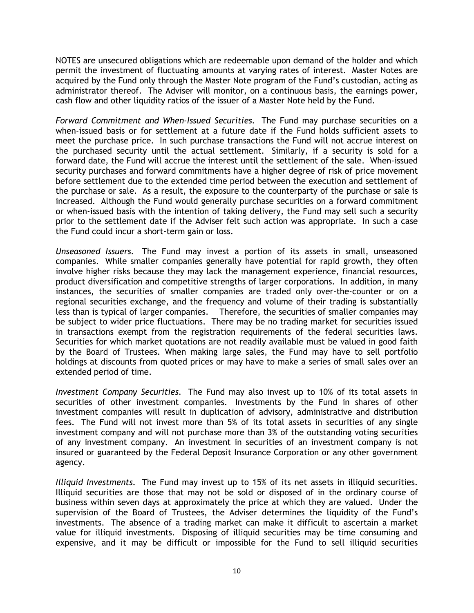NOTES are unsecured obligations which are redeemable upon demand of the holder and which permit the investment of fluctuating amounts at varying rates of interest. Master Notes are acquired by the Fund only through the Master Note program of the Fund's custodian, acting as administrator thereof. The Adviser will monitor, on a continuous basis, the earnings power, cash flow and other liquidity ratios of the issuer of a Master Note held by the Fund.

*Forward Commitment and When-Issued Securities.* The Fund may purchase securities on a when-issued basis or for settlement at a future date if the Fund holds sufficient assets to meet the purchase price. In such purchase transactions the Fund will not accrue interest on the purchased security until the actual settlement. Similarly, if a security is sold for a forward date, the Fund will accrue the interest until the settlement of the sale. When-issued security purchases and forward commitments have a higher degree of risk of price movement before settlement due to the extended time period between the execution and settlement of the purchase or sale. As a result, the exposure to the counterparty of the purchase or sale is increased. Although the Fund would generally purchase securities on a forward commitment or when-issued basis with the intention of taking delivery, the Fund may sell such a security prior to the settlement date if the Adviser felt such action was appropriate. In such a case the Fund could incur a short-term gain or loss.

*Unseasoned Issuers.*The Fund may invest a portion of its assets in small, unseasoned companies. While smaller companies generally have potential for rapid growth, they often involve higher risks because they may lack the management experience, financial resources, product diversification and competitive strengths of larger corporations. In addition, in many instances, the securities of smaller companies are traded only over-the-counter or on a regional securities exchange, and the frequency and volume of their trading is substantially less than is typical of larger companies. Therefore, the securities of smaller companies may be subject to wider price fluctuations. There may be no trading market for securities issued in transactions exempt from the registration requirements of the federal securities laws. Securities for which market quotations are not readily available must be valued in good faith by the Board of Trustees. When making large sales, the Fund may have to sell portfolio holdings at discounts from quoted prices or may have to make a series of small sales over an extended period of time.

*Investment Company Securities.*The Fund may also invest up to 10% of its total assets in securities of other investment companies. Investments by the Fund in shares of other investment companies will result in duplication of advisory, administrative and distribution fees. The Fund will not invest more than 5% of its total assets in securities of any single investment company and will not purchase more than 3% of the outstanding voting securities of any investment company. An investment in securities of an investment company is not insured or guaranteed by the Federal Deposit Insurance Corporation or any other government agency.

*Illiquid Investments.*The Fund may invest up to 15% of its net assets in illiquid securities. Illiquid securities are those that may not be sold or disposed of in the ordinary course of business within seven days at approximately the price at which they are valued. Under the supervision of the Board of Trustees, the Adviser determines the liquidity of the Fund's investments. The absence of a trading market can make it difficult to ascertain a market value for illiquid investments. Disposing of illiquid securities may be time consuming and expensive, and it may be difficult or impossible for the Fund to sell illiquid securities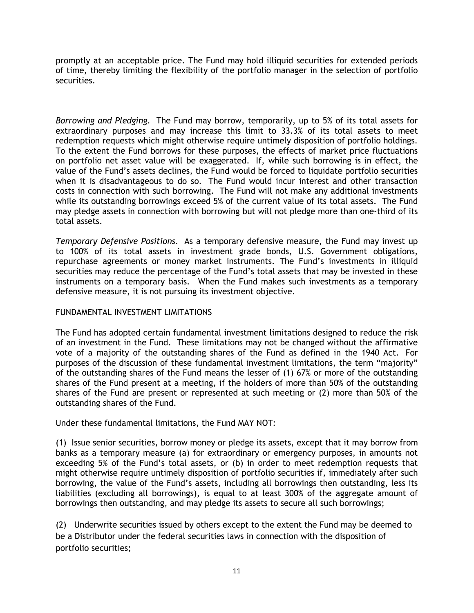promptly at an acceptable price. The Fund may hold illiquid securities for extended periods of time, thereby limiting the flexibility of the portfolio manager in the selection of portfolio securities.

*Borrowing and Pledging.*The Fund may borrow, temporarily, up to 5% of its total assets for extraordinary purposes and may increase this limit to 33.3% of its total assets to meet redemption requests which might otherwise require untimely disposition of portfolio holdings. To the extent the Fund borrows for these purposes, the effects of market price fluctuations on portfolio net asset value will be exaggerated. If, while such borrowing is in effect, the value of the Fund's assets declines, the Fund would be forced to liquidate portfolio securities when it is disadvantageous to do so. The Fund would incur interest and other transaction costs in connection with such borrowing. The Fund will not make any additional investments while its outstanding borrowings exceed 5% of the current value of its total assets. The Fund may pledge assets in connection with borrowing but will not pledge more than one-third of its total assets.

*Temporary Defensive Positions.* As a temporary defensive measure, the Fund may invest up to 100% of its total assets in investment grade bonds, U.S. Government obligations, repurchase agreements or money market instruments. The Fund's investments in illiquid securities may reduce the percentage of the Fund's total assets that may be invested in these instruments on a temporary basis. When the Fund makes such investments as a temporary defensive measure, it is not pursuing its investment objective.

# FUNDAMENTAL INVESTMENT LIMITATIONS

The Fund has adopted certain fundamental investment limitations designed to reduce the risk of an investment in the Fund. These limitations may not be changed without the affirmative vote of a majority of the outstanding shares of the Fund as defined in the 1940 Act. For purposes of the discussion of these fundamental investment limitations, the term "majority" of the outstanding shares of the Fund means the lesser of (1) 67% or more of the outstanding shares of the Fund present at a meeting, if the holders of more than 50% of the outstanding shares of the Fund are present or represented at such meeting or (2) more than 50% of the outstanding shares of the Fund.

Under these fundamental limitations, the Fund MAY NOT:

(1) Issue senior securities, borrow money or pledge its assets, except that it may borrow from banks as a temporary measure (a) for extraordinary or emergency purposes, in amounts not exceeding 5% of the Fund's total assets, or (b) in order to meet redemption requests that might otherwise require untimely disposition of portfolio securities if, immediately after such borrowing, the value of the Fund's assets, including all borrowings then outstanding, less its liabilities (excluding all borrowings), is equal to at least 300% of the aggregate amount of borrowings then outstanding, and may pledge its assets to secure all such borrowings;

(2) Underwrite securities issued by others except to the extent the Fund may be deemed to be a Distributor under the federal securities laws in connection with the disposition of portfolio securities;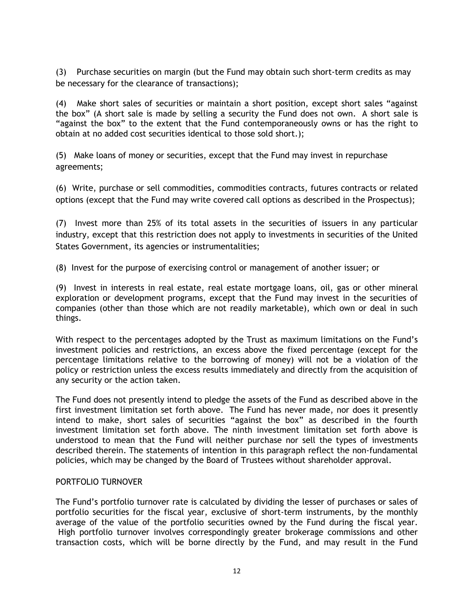(3) Purchase securities on margin (but the Fund may obtain such short-term credits as may be necessary for the clearance of transactions);

(4) Make short sales of securities or maintain a short position, except short sales "against the box" (A short sale is made by selling a security the Fund does not own. A short sale is "against the box" to the extent that the Fund contemporaneously owns or has the right to obtain at no added cost securities identical to those sold short.);

(5) Make loans of money or securities, except that the Fund may invest in repurchase agreements;

(6) Write, purchase or sell commodities, commodities contracts, futures contracts or related options (except that the Fund may write covered call options as described in the Prospectus);

(7) Invest more than 25% of its total assets in the securities of issuers in any particular industry, except that this restriction does not apply to investments in securities of the United States Government, its agencies or instrumentalities;

(8) Invest for the purpose of exercising control or management of another issuer; or

(9) Invest in interests in real estate, real estate mortgage loans, oil, gas or other mineral exploration or development programs, except that the Fund may invest in the securities of companies (other than those which are not readily marketable), which own or deal in such things.

With respect to the percentages adopted by the Trust as maximum limitations on the Fund's investment policies and restrictions, an excess above the fixed percentage (except for the percentage limitations relative to the borrowing of money) will not be a violation of the policy or restriction unless the excess results immediately and directly from the acquisition of any security or the action taken.

The Fund does not presently intend to pledge the assets of the Fund as described above in the first investment limitation set forth above. The Fund has never made, nor does it presently intend to make, short sales of securities "against the box" as described in the fourth investment limitation set forth above. The ninth investment limitation set forth above is understood to mean that the Fund will neither purchase nor sell the types of investments described therein. The statements of intention in this paragraph reflect the non-fundamental policies, which may be changed by the Board of Trustees without shareholder approval.

# PORTFOLIO TURNOVER

The Fund's portfolio turnover rate is calculated by dividing the lesser of purchases or sales of portfolio securities for the fiscal year, exclusive of short-term instruments, by the monthly average of the value of the portfolio securities owned by the Fund during the fiscal year. High portfolio turnover involves correspondingly greater brokerage commissions and other transaction costs, which will be borne directly by the Fund, and may result in the Fund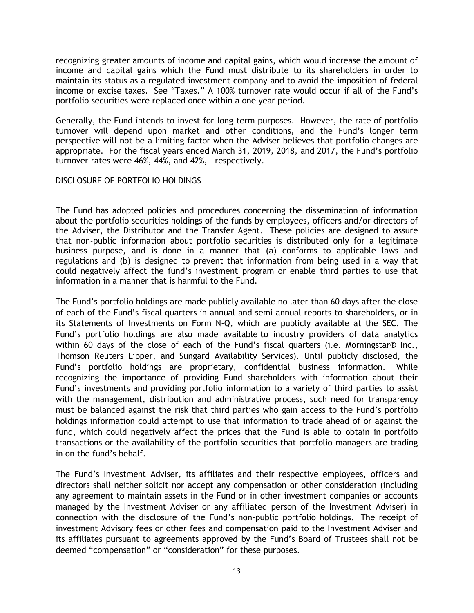recognizing greater amounts of income and capital gains, which would increase the amount of income and capital gains which the Fund must distribute to its shareholders in order to maintain its status as a regulated investment company and to avoid the imposition of federal income or excise taxes. See "Taxes." A 100% turnover rate would occur if all of the Fund's portfolio securities were replaced once within a one year period.

Generally, the Fund intends to invest for long-term purposes. However, the rate of portfolio turnover will depend upon market and other conditions, and the Fund's longer term perspective will not be a limiting factor when the Adviser believes that portfolio changes are appropriate. For the fiscal years ended March 31, 2019, 2018, and 2017, the Fund's portfolio turnover rates were 46%, 44%, and 42%, respectively.

## DISCLOSURE OF PORTFOLIO HOLDINGS

The Fund has adopted policies and procedures concerning the dissemination of information about the portfolio securities holdings of the funds by employees, officers and/or directors of the Adviser, the Distributor and the Transfer Agent. These policies are designed to assure that non-public information about portfolio securities is distributed only for a legitimate business purpose, and is done in a manner that (a) conforms to applicable laws and regulations and (b) is designed to prevent that information from being used in a way that could negatively affect the fund's investment program or enable third parties to use that information in a manner that is harmful to the Fund.

The Fund's portfolio holdings are made publicly available no later than 60 days after the close of each of the Fund's fiscal quarters in annual and semi-annual reports to shareholders, or in its Statements of Investments on Form N-Q, which are publicly available at the SEC. The Fund's portfolio holdings are also made available to industry providers of data analytics within 60 days of the close of each of the Fund's fiscal quarters (i.e. Morningstar® Inc., Thomson Reuters Lipper, and Sungard Availability Services). Until publicly disclosed, the Fund's portfolio holdings are proprietary, confidential business information. While recognizing the importance of providing Fund shareholders with information about their Fund's investments and providing portfolio information to a variety of third parties to assist with the management, distribution and administrative process, such need for transparency must be balanced against the risk that third parties who gain access to the Fund's portfolio holdings information could attempt to use that information to trade ahead of or against the fund, which could negatively affect the prices that the Fund is able to obtain in portfolio transactions or the availability of the portfolio securities that portfolio managers are trading in on the fund's behalf.

The Fund's Investment Adviser, its affiliates and their respective employees, officers and directors shall neither solicit nor accept any compensation or other consideration (including any agreement to maintain assets in the Fund or in other investment companies or accounts managed by the Investment Adviser or any affiliated person of the Investment Adviser) in connection with the disclosure of the Fund's non-public portfolio holdings. The receipt of investment Advisory fees or other fees and compensation paid to the Investment Adviser and its affiliates pursuant to agreements approved by the Fund's Board of Trustees shall not be deemed "compensation" or "consideration" for these purposes.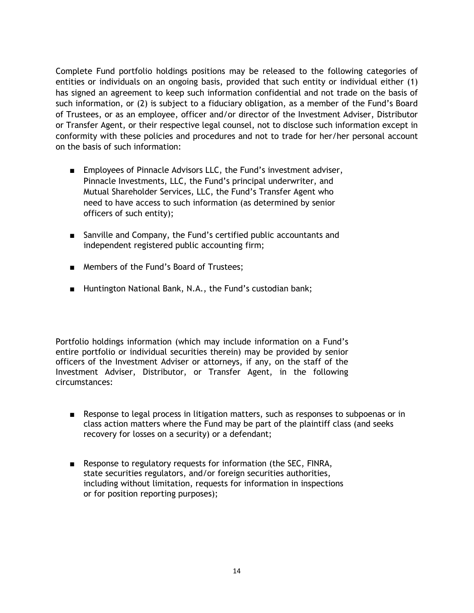Complete Fund portfolio holdings positions may be released to the following categories of entities or individuals on an ongoing basis, provided that such entity or individual either (1) has signed an agreement to keep such information confidential and not trade on the basis of such information, or (2) is subject to a fiduciary obligation, as a member of the Fund's Board of Trustees, or as an employee, officer and/or director of the Investment Adviser, Distributor or Transfer Agent, or their respective legal counsel, not to disclose such information except in conformity with these policies and procedures and not to trade for her/her personal account on the basis of such information:

- Employees of Pinnacle Advisors LLC, the Fund's investment adviser, Pinnacle Investments, LLC, the Fund's principal underwriter, and Mutual Shareholder Services, LLC, the Fund's Transfer Agent who need to have access to such information (as determined by senior officers of such entity);
- Sanville and Company, the Fund's certified public accountants and independent registered public accounting firm;
- Members of the Fund's Board of Trustees;
- Huntington National Bank, N.A., the Fund's custodian bank;

Portfolio holdings information (which may include information on a Fund's entire portfolio or individual securities therein) may be provided by senior officers of the Investment Adviser or attorneys, if any, on the staff of the Investment Adviser, Distributor, or Transfer Agent, in the following circumstances:

- Response to legal process in litigation matters, such as responses to subpoenas or in class action matters where the Fund may be part of the plaintiff class (and seeks recovery for losses on a security) or a defendant;
- Response to regulatory requests for information (the SEC, FINRA, state securities regulators, and/or foreign securities authorities, including without limitation, requests for information in inspections or for position reporting purposes);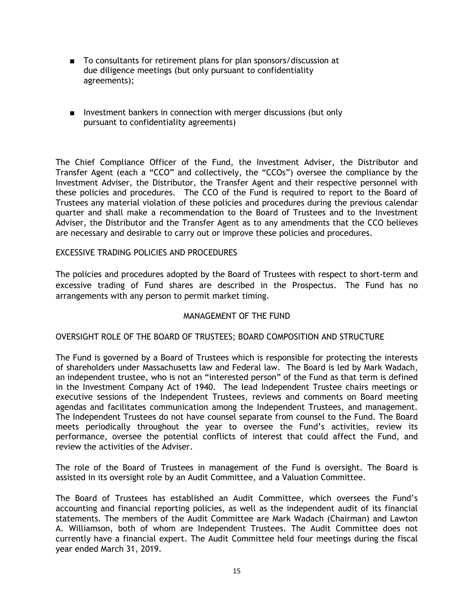- To consultants for retirement plans for plan sponsors/discussion at due diligence meetings (but only pursuant to confidentiality agreements);
- Investment bankers in connection with merger discussions (but only pursuant to confidentiality agreements)

The Chief Compliance Officer of the Fund, the Investment Adviser, the Distributor and Transfer Agent (each a "CCO" and collectively, the "CCOs") oversee the compliance by the Investment Adviser, the Distributor, the Transfer Agent and their respective personnel with these policies and procedures. The CCO of the Fund is required to report to the Board of Trustees any material violation of these policies and procedures during the previous calendar quarter and shall make a recommendation to the Board of Trustees and to the Investment Adviser, the Distributor and the Transfer Agent as to any amendments that the CCO believes are necessary and desirable to carry out or improve these policies and procedures.

## EXCESSIVE TRADING POLICIES AND PROCEDURES

The policies and procedures adopted by the Board of Trustees with respect to short-term and excessive trading of Fund shares are described in the Prospectus. The Fund has no arrangements with any person to permit market timing.

# MANAGEMENT OF THE FUND

#### OVERSIGHT ROLE OF THE BOARD OF TRUSTEES; BOARD COMPOSITION AND STRUCTURE

The Fund is governed by a Board of Trustees which is responsible for protecting the interests of shareholders under Massachusetts law and Federal law. The Board is led by Mark Wadach, an independent trustee, who is not an "interested person" of the Fund as that term is defined in the Investment Company Act of 1940. The lead Independent Trustee chairs meetings or executive sessions of the Independent Trustees, reviews and comments on Board meeting agendas and facilitates communication among the Independent Trustees, and management. The Independent Trustees do not have counsel separate from counsel to the Fund. The Board meets periodically throughout the year to oversee the Fund's activities, review its performance, oversee the potential conflicts of interest that could affect the Fund, and review the activities of the Adviser.

The role of the Board of Trustees in management of the Fund is oversight. The Board is assisted in its oversight role by an Audit Committee, and a Valuation Committee.

The Board of Trustees has established an Audit Committee, which oversees the Fund's accounting and financial reporting policies, as well as the independent audit of its financial statements. The members of the Audit Committee are Mark Wadach (Chairman) and Lawton A. Williamson, both of whom are Independent Trustees. The Audit Committee does not currently have a financial expert. The Audit Committee held four meetings during the fiscal year ended March 31, 2019.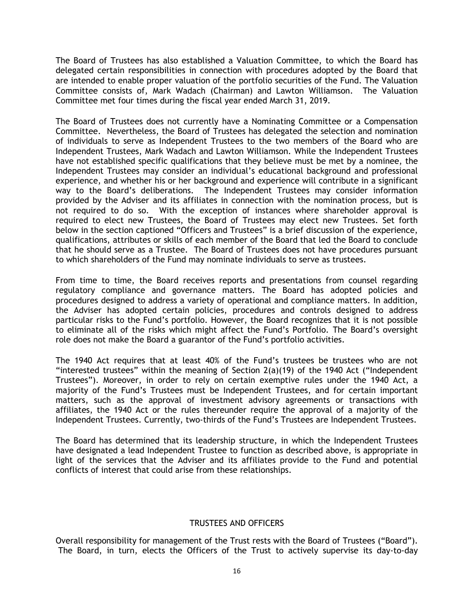The Board of Trustees has also established a Valuation Committee, to which the Board has delegated certain responsibilities in connection with procedures adopted by the Board that are intended to enable proper valuation of the portfolio securities of the Fund. The Valuation Committee consists of, Mark Wadach (Chairman) and Lawton Williamson. The Valuation Committee met four times during the fiscal year ended March 31, 2019.

The Board of Trustees does not currently have a Nominating Committee or a Compensation Committee. Nevertheless, the Board of Trustees has delegated the selection and nomination of individuals to serve as Independent Trustees to the two members of the Board who are Independent Trustees, Mark Wadach and Lawton Williamson. While the Independent Trustees have not established specific qualifications that they believe must be met by a nominee, the Independent Trustees may consider an individual's educational background and professional experience, and whether his or her background and experience will contribute in a significant way to the Board's deliberations. The Independent Trustees may consider information provided by the Adviser and its affiliates in connection with the nomination process, but is not required to do so. With the exception of instances where shareholder approval is required to elect new Trustees, the Board of Trustees may elect new Trustees. Set forth below in the section captioned "Officers and Trustees" is a brief discussion of the experience, qualifications, attributes or skills of each member of the Board that led the Board to conclude that he should serve as a Trustee. The Board of Trustees does not have procedures pursuant to which shareholders of the Fund may nominate individuals to serve as trustees.

From time to time, the Board receives reports and presentations from counsel regarding regulatory compliance and governance matters. The Board has adopted policies and procedures designed to address a variety of operational and compliance matters. In addition, the Adviser has adopted certain policies, procedures and controls designed to address particular risks to the Fund's portfolio. However, the Board recognizes that it is not possible to eliminate all of the risks which might affect the Fund's Portfolio. The Board's oversight role does not make the Board a guarantor of the Fund's portfolio activities.

The 1940 Act requires that at least 40% of the Fund's trustees be trustees who are not "interested trustees" within the meaning of Section 2(a)(19) of the 1940 Act ("Independent Trustees"). Moreover, in order to rely on certain exemptive rules under the 1940 Act, a majority of the Fund's Trustees must be Independent Trustees, and for certain important matters, such as the approval of investment advisory agreements or transactions with affiliates, the 1940 Act or the rules thereunder require the approval of a majority of the Independent Trustees. Currently, two-thirds of the Fund's Trustees are Independent Trustees.

The Board has determined that its leadership structure, in which the Independent Trustees have designated a lead Independent Trustee to function as described above, is appropriate in light of the services that the Adviser and its affiliates provide to the Fund and potential conflicts of interest that could arise from these relationships.

#### TRUSTEES AND OFFICERS

Overall responsibility for management of the Trust rests with the Board of Trustees ("Board"). The Board, in turn, elects the Officers of the Trust to actively supervise its day-to-day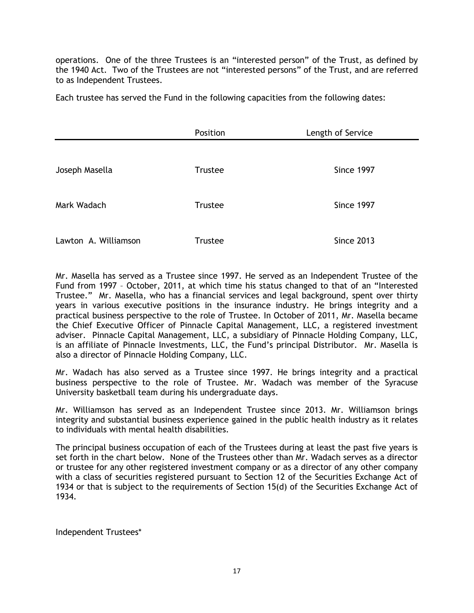operations. One of the three Trustees is an "interested person" of the Trust, as defined by the 1940 Act. Two of the Trustees are not "interested persons" of the Trust, and are referred to as Independent Trustees.

Each trustee has served the Fund in the following capacities from the following dates:

|                      | Position       | Length of Service |
|----------------------|----------------|-------------------|
|                      |                |                   |
| Joseph Masella       | <b>Trustee</b> | Since 1997        |
|                      |                |                   |
| Mark Wadach          | <b>Trustee</b> | Since 1997        |
|                      |                |                   |
| Lawton A. Williamson | <b>Trustee</b> | <b>Since 2013</b> |

Mr. Masella has served as a Trustee since 1997. He served as an Independent Trustee of the Fund from 1997 – October, 2011, at which time his status changed to that of an "Interested Trustee." Mr. Masella, who has a financial services and legal background, spent over thirty years in various executive positions in the insurance industry. He brings integrity and a practical business perspective to the role of Trustee. In October of 2011, Mr. Masella became the Chief Executive Officer of Pinnacle Capital Management, LLC, a registered investment adviser. Pinnacle Capital Management, LLC, a subsidiary of Pinnacle Holding Company, LLC, is an affiliate of Pinnacle Investments, LLC, the Fund's principal Distributor. Mr. Masella is also a director of Pinnacle Holding Company, LLC.

Mr. Wadach has also served as a Trustee since 1997. He brings integrity and a practical business perspective to the role of Trustee. Mr. Wadach was member of the Syracuse University basketball team during his undergraduate days.

Mr. Williamson has served as an Independent Trustee since 2013. Mr. Williamson brings integrity and substantial business experience gained in the public health industry as it relates to individuals with mental health disabilities.

The principal business occupation of each of the Trustees during at least the past five years is set forth in the chart below. None of the Trustees other than Mr. Wadach serves as a director or trustee for any other registered investment company or as a director of any other company with a class of securities registered pursuant to Section 12 of the Securities Exchange Act of 1934 or that is subject to the requirements of Section 15(d) of the Securities Exchange Act of 1934.

Independent Trustees\*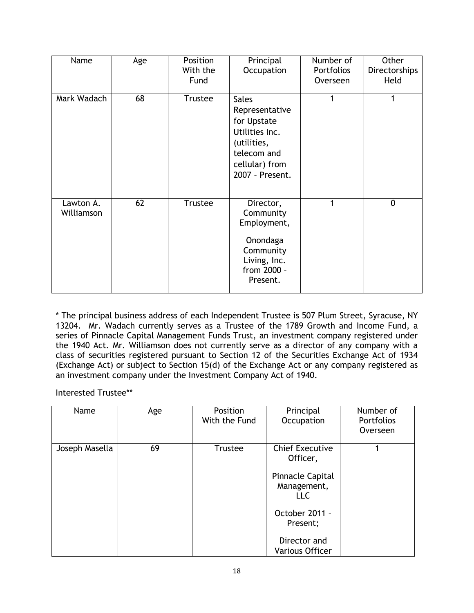| Name                    | Age | Position<br>With the<br>Fund | Principal<br>Occupation                                                                                                            | Number of<br><b>Portfolios</b><br>Overseen | Other<br>Directorships<br>Held |
|-------------------------|-----|------------------------------|------------------------------------------------------------------------------------------------------------------------------------|--------------------------------------------|--------------------------------|
| Mark Wadach             | 68  | <b>Trustee</b>               | <b>Sales</b><br>Representative<br>for Upstate<br>Utilities Inc.<br>(utilities,<br>telecom and<br>cellular) from<br>2007 - Present. | 1                                          |                                |
| Lawton A.<br>Williamson | 62  | <b>Trustee</b>               | Director,<br>Community<br>Employment,<br>Onondaga<br>Community<br>Living, Inc.<br>from 2000 -<br>Present.                          | 1                                          | $\overline{0}$                 |

\* The principal business address of each Independent Trustee is 507 Plum Street, Syracuse, NY 13204. Mr. Wadach currently serves as a Trustee of the 1789 Growth and Income Fund, a series of Pinnacle Capital Management Funds Trust, an investment company registered under the 1940 Act. Mr. Williamson does not currently serve as a director of any company with a class of securities registered pursuant to Section 12 of the Securities Exchange Act of 1934 (Exchange Act) or subject to Section 15(d) of the Exchange Act or any company registered as an investment company under the Investment Company Act of 1940.

Interested Trustee\*\*

| Name           | Age | Position<br>With the Fund | Principal<br>Occupation                                                                                                                                            | Number of<br><b>Portfolios</b><br>Overseen |
|----------------|-----|---------------------------|--------------------------------------------------------------------------------------------------------------------------------------------------------------------|--------------------------------------------|
| Joseph Masella | 69  | Trustee                   | <b>Chief Executive</b><br>Officer,<br><b>Pinnacle Capital</b><br>Management,<br><b>LLC</b><br>October 2011 -<br>Present;<br>Director and<br><b>Various Officer</b> |                                            |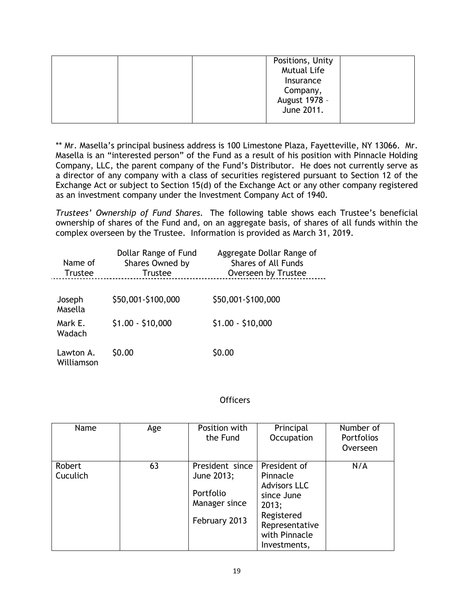| Positions, Unity<br><b>Mutual Life</b>               |
|------------------------------------------------------|
| Insurance<br>Company,<br>August 1978 -<br>June 2011. |

\*\* Mr. Masella's principal business address is 100 Limestone Plaza, Fayetteville, NY 13066. Mr. Masella is an "interested person" of the Fund as a result of his position with Pinnacle Holding Company, LLC, the parent company of the Fund's Distributor. He does not currently serve as a director of any company with a class of securities registered pursuant to Section 12 of the Exchange Act or subject to Section 15(d) of the Exchange Act or any other company registered as an investment company under the Investment Company Act of 1940.

*Trustees' Ownership of Fund Shares.* The following table shows each Trustee's beneficial ownership of shares of the Fund and, on an aggregate basis, of shares of all funds within the complex overseen by the Trustee. Information is provided as March 31, 2019.

| Name of<br><b>Trustee</b> | Dollar Range of Fund<br>Shares Owned by<br><b>Trustee</b> | Aggregate Dollar Range of<br><b>Shares of All Funds</b><br>Overseen by Trustee |
|---------------------------|-----------------------------------------------------------|--------------------------------------------------------------------------------|
| Joseph<br>Masella         | \$50,001-\$100,000                                        | \$50,001-\$100,000                                                             |
| Mark E.<br>Wadach         | $$1.00 - $10,000$                                         | $$1.00 - $10,000$                                                              |
| Lawton A.<br>Williamson   | \$0.00                                                    | \$0.00                                                                         |

# **Officers**

| Name               | Age | Position with<br>the Fund                                                    | Principal<br>Occupation                                                                                                                 | Number of<br><b>Portfolios</b><br>Overseen |
|--------------------|-----|------------------------------------------------------------------------------|-----------------------------------------------------------------------------------------------------------------------------------------|--------------------------------------------|
| Robert<br>Cuculich | 63  | President since<br>June 2013;<br>Portfolio<br>Manager since<br>February 2013 | President of<br>Pinnacle<br><b>Advisors LLC</b><br>since June<br>2013;<br>Registered<br>Representative<br>with Pinnacle<br>Investments, | N/A                                        |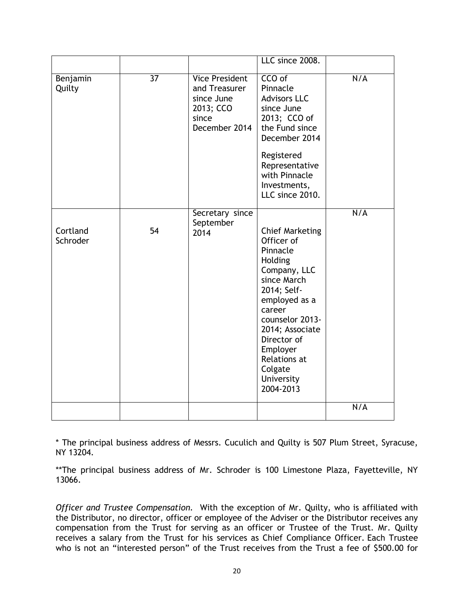|                      |                 |                                                                                             | LLC since 2008.                                                                                                                                                                                                                                             |     |
|----------------------|-----------------|---------------------------------------------------------------------------------------------|-------------------------------------------------------------------------------------------------------------------------------------------------------------------------------------------------------------------------------------------------------------|-----|
| Benjamin<br>Quilty   | $\overline{37}$ | <b>Vice President</b><br>and Treasurer<br>since June<br>2013; CCO<br>since<br>December 2014 | CCO of<br>Pinnacle<br><b>Advisors LLC</b><br>since June<br>2013; CCO of<br>the Fund since<br>December 2014<br>Registered<br>Representative<br>with Pinnacle<br>Investments,<br>LLC since 2010.                                                              | N/A |
| Cortland<br>Schroder | 54              | Secretary since<br>September<br>2014                                                        | <b>Chief Marketing</b><br>Officer of<br>Pinnacle<br>Holding<br>Company, LLC<br>since March<br>2014; Self-<br>employed as a<br>career<br>counselor 2013-<br>2014; Associate<br>Director of<br>Employer<br>Relations at<br>Colgate<br>University<br>2004-2013 | N/A |
|                      |                 |                                                                                             |                                                                                                                                                                                                                                                             | N/A |

\* The principal business address of Messrs. Cuculich and Quilty is 507 Plum Street, Syracuse, NY 13204.

\*\*The principal business address of Mr. Schroder is 100 Limestone Plaza, Fayetteville, NY 13066.

*Officer and Trustee Compensation.* With the exception of Mr. Quilty, who is affiliated with the Distributor, no director, officer or employee of the Adviser or the Distributor receives any compensation from the Trust for serving as an officer or Trustee of the Trust. Mr. Quilty receives a salary from the Trust for his services as Chief Compliance Officer. Each Trustee who is not an "interested person" of the Trust receives from the Trust a fee of \$500.00 for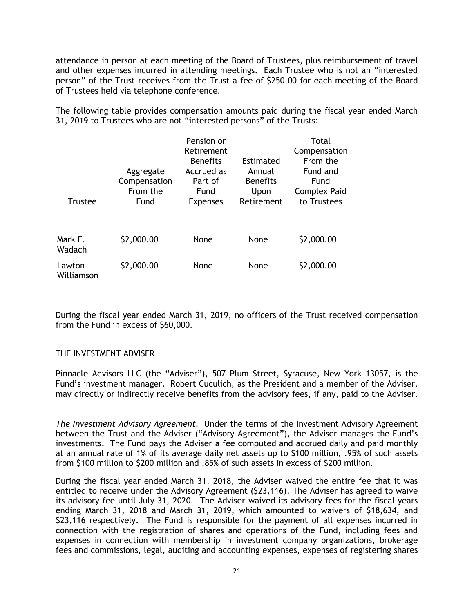attendance in person at each meeting of the Board of Trustees, plus reimbursement of travel and other expenses incurred in attending meetings. Each Trustee who is not an "interested person" of the Trust receives from the Trust a fee of \$250.00 for each meeting of the Board of Trustees held via telephone conference.

The following table provides compensation amounts paid during the fiscal year ended March 31, 2019 to Trustees who are not "interested persons" of the Trusts:

|                      |              | Pension or      |                 | Total               |
|----------------------|--------------|-----------------|-----------------|---------------------|
|                      |              | Retirement      |                 | Compensation        |
|                      |              | <b>Benefits</b> | Estimated       | From the            |
|                      | Aggregate    | Accrued as      | Annual          | Fund and            |
|                      | Compensation | Part of         | <b>Benefits</b> | Fund                |
|                      | From the     | Fund            | Upon            | <b>Complex Paid</b> |
| <b>Trustee</b>       | Fund         | <b>Expenses</b> | Retirement      | to Trustees         |
|                      |              |                 |                 |                     |
| Mark E.<br>Wadach    | \$2,000.00   | None            | None            | \$2,000.00          |
| Lawton<br>Williamson | \$2,000.00   | None            | None            | \$2,000.00          |

During the fiscal year ended March 31, 2019, no officers of the Trust received compensation from the Fund in excess of \$60,000.

# THE INVESTMENT ADVISER

Pinnacle Advisors LLC (the "Adviser"), 507 Plum Street, Syracuse, New York 13057, is the Fund's investment manager. Robert Cuculich, as the President and a member of the Adviser, may directly or indirectly receive benefits from the advisory fees, if any, paid to the Adviser.

*The Investment Advisory Agreement.* Under the terms of the Investment Advisory Agreement between the Trust and the Adviser ("Advisory Agreement"), the Adviser manages the Fund's investments. The Fund pays the Adviser a fee computed and accrued daily and paid monthly at an annual rate of 1% of its average daily net assets up to \$100 million, .95% of such assets from \$100 million to \$200 million and .85% of such assets in excess of \$200 million.

During the fiscal year ended March 31, 2018, the Adviser waived the entire fee that it was entitled to receive under the Advisory Agreement (\$23,116). The Adviser has agreed to waive its advisory fee until July 31, 2020. The Adviser waived its advisory fees for the fiscal years ending March 31, 2018 and March 31, 2019, which amounted to waivers of \$18,634, and \$23,116 respectively. The Fund is responsible for the payment of all expenses incurred in connection with the registration of shares and operations of the Fund, including fees and expenses in connection with membership in investment company organizations, brokerage fees and commissions, legal, auditing and accounting expenses, expenses of registering shares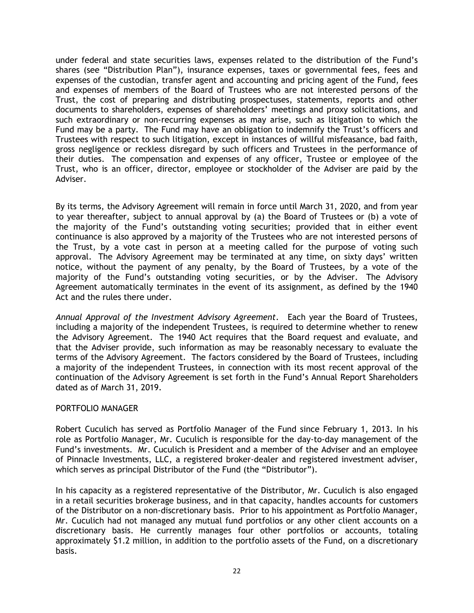under federal and state securities laws, expenses related to the distribution of the Fund's shares (see "Distribution Plan"), insurance expenses, taxes or governmental fees, fees and expenses of the custodian, transfer agent and accounting and pricing agent of the Fund, fees and expenses of members of the Board of Trustees who are not interested persons of the Trust, the cost of preparing and distributing prospectuses, statements, reports and other documents to shareholders, expenses of shareholders' meetings and proxy solicitations, and such extraordinary or non-recurring expenses as may arise, such as litigation to which the Fund may be a party. The Fund may have an obligation to indemnify the Trust's officers and Trustees with respect to such litigation, except in instances of willful misfeasance, bad faith, gross negligence or reckless disregard by such officers and Trustees in the performance of their duties. The compensation and expenses of any officer, Trustee or employee of the Trust, who is an officer, director, employee or stockholder of the Adviser are paid by the Adviser.

By its terms, the Advisory Agreement will remain in force until March 31, 2020, and from year to year thereafter, subject to annual approval by (a) the Board of Trustees or (b) a vote of the majority of the Fund's outstanding voting securities; provided that in either event continuance is also approved by a majority of the Trustees who are not interested persons of the Trust, by a vote cast in person at a meeting called for the purpose of voting such approval. The Advisory Agreement may be terminated at any time, on sixty days' written notice, without the payment of any penalty, by the Board of Trustees, by a vote of the majority of the Fund's outstanding voting securities, or by the Adviser. The Advisory Agreement automatically terminates in the event of its assignment, as defined by the 1940 Act and the rules there under.

*Annual Approval of the Investment Advisory Agreement*. Each year the Board of Trustees, including a majority of the independent Trustees, is required to determine whether to renew the Advisory Agreement. The 1940 Act requires that the Board request and evaluate, and that the Adviser provide, such information as may be reasonably necessary to evaluate the terms of the Advisory Agreement. The factors considered by the Board of Trustees, including a majority of the independent Trustees, in connection with its most recent approval of the continuation of the Advisory Agreement is set forth in the Fund's Annual Report Shareholders dated as of March 31, 2019.

# PORTFOLIO MANAGER

Robert Cuculich has served as Portfolio Manager of the Fund since February 1, 2013. In his role as Portfolio Manager, Mr. Cuculich is responsible for the day-to-day management of the Fund's investments. Mr. Cuculich is President and a member of the Adviser and an employee of Pinnacle Investments, LLC, a registered broker-dealer and registered investment adviser, which serves as principal Distributor of the Fund (the "Distributor").

In his capacity as a registered representative of the Distributor, Mr. Cuculich is also engaged in a retail securities brokerage business, and in that capacity, handles accounts for customers of the Distributor on a non-discretionary basis. Prior to his appointment as Portfolio Manager, Mr. Cuculich had not managed any mutual fund portfolios or any other client accounts on a discretionary basis. He currently manages four other portfolios or accounts, totaling approximately \$1.2 million, in addition to the portfolio assets of the Fund, on a discretionary basis.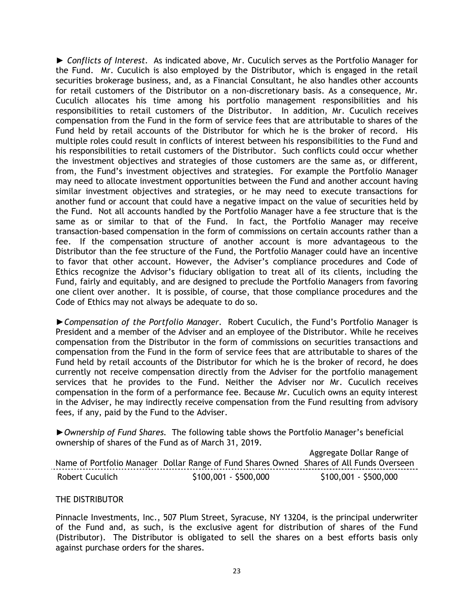► *Conflicts of Interest.* As indicated above, Mr. Cuculich serves as the Portfolio Manager for the Fund. Mr. Cuculich is also employed by the Distributor, which is engaged in the retail securities brokerage business, and, as a Financial Consultant, he also handles other accounts for retail customers of the Distributor on a non-discretionary basis. As a consequence, Mr. Cuculich allocates his time among his portfolio management responsibilities and his responsibilities to retail customers of the Distributor. In addition, Mr. Cuculich receives compensation from the Fund in the form of service fees that are attributable to shares of the Fund held by retail accounts of the Distributor for which he is the broker of record. His multiple roles could result in conflicts of interest between his responsibilities to the Fund and his responsibilities to retail customers of the Distributor. Such conflicts could occur whether the investment objectives and strategies of those customers are the same as, or different, from, the Fund's investment objectives and strategies. For example the Portfolio Manager may need to allocate investment opportunities between the Fund and another account having similar investment objectives and strategies, or he may need to execute transactions for another fund or account that could have a negative impact on the value of securities held by the Fund. Not all accounts handled by the Portfolio Manager have a fee structure that is the same as or similar to that of the Fund. In fact, the Portfolio Manager may receive transaction-based compensation in the form of commissions on certain accounts rather than a fee. If the compensation structure of another account is more advantageous to the Distributor than the fee structure of the Fund, the Portfolio Manager could have an incentive to favor that other account. However, the Adviser's compliance procedures and Code of Ethics recognize the Advisor's fiduciary obligation to treat all of its clients, including the Fund, fairly and equitably, and are designed to preclude the Portfolio Managers from favoring one client over another. It is possible, of course, that those compliance procedures and the Code of Ethics may not always be adequate to do so.

*►Compensation of the Portfolio Manager.* Robert Cuculich, the Fund's Portfolio Manager is President and a member of the Adviser and an employee of the Distributor. While he receives compensation from the Distributor in the form of commissions on securities transactions and compensation from the Fund in the form of service fees that are attributable to shares of the Fund held by retail accounts of the Distributor for which he is the broker of record, he does currently not receive compensation directly from the Adviser for the portfolio management services that he provides to the Fund. Neither the Adviser nor Mr. Cuculich receives compensation in the form of a performance fee. Because Mr. Cuculich owns an equity interest in the Adviser, he may indirectly receive compensation from the Fund resulting from advisory fees, if any, paid by the Fund to the Adviser.

*►Ownership of Fund Shares.* The following table shows the Portfolio Manager's beneficial ownership of shares of the Fund as of March 31, 2019.

Name of Portfolio Manager Dollar Range of Fund Shares Owned Shares of All Funds Overseen Aggregate Dollar Range of Robert Cuculich \$100,001 - \$500,000 \$100,001 - \$500,000

#### THE DISTRIBUTOR

Pinnacle Investments, Inc., 507 Plum Street, Syracuse, NY 13204, is the principal underwriter of the Fund and, as such, is the exclusive agent for distribution of shares of the Fund (Distributor). The Distributor is obligated to sell the shares on a best efforts basis only against purchase orders for the shares.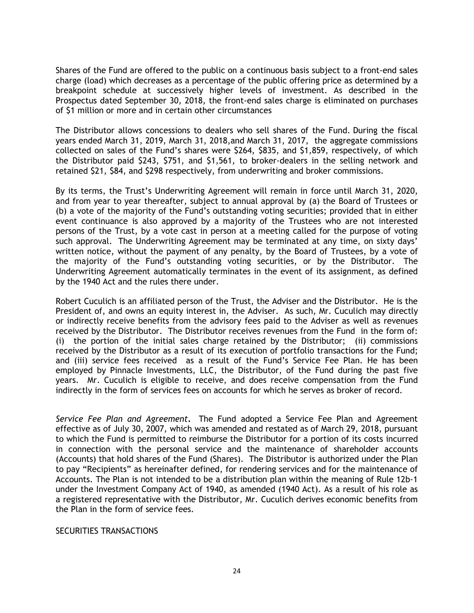Shares of the Fund are offered to the public on a continuous basis subject to a front-end sales charge (load) which decreases as a percentage of the public offering price as determined by a breakpoint schedule at successively higher levels of investment. As described in the Prospectus dated September 30, 2018, the front-end sales charge is eliminated on purchases of \$1 million or more and in certain other circumstances

The Distributor allows concessions to dealers who sell shares of the Fund. During the fiscal years ended March 31, 2019, March 31, 2018,and March 31, 2017, the aggregate commissions collected on sales of the Fund's shares were \$264, \$835, and \$1,859, respectively, of which the Distributor paid \$243, \$751, and \$1,561, to broker-dealers in the selling network and retained \$21, \$84, and \$298 respectively, from underwriting and broker commissions.

By its terms, the Trust's Underwriting Agreement will remain in force until March 31, 2020, and from year to year thereafter, subject to annual approval by (a) the Board of Trustees or (b) a vote of the majority of the Fund's outstanding voting securities; provided that in either event continuance is also approved by a majority of the Trustees who are not interested persons of the Trust, by a vote cast in person at a meeting called for the purpose of voting such approval. The Underwriting Agreement may be terminated at any time, on sixty days' written notice, without the payment of any penalty, by the Board of Trustees, by a vote of the majority of the Fund's outstanding voting securities, or by the Distributor. The Underwriting Agreement automatically terminates in the event of its assignment, as defined by the 1940 Act and the rules there under.

Robert Cuculich is an affiliated person of the Trust, the Adviser and the Distributor. He is the President of, and owns an equity interest in, the Adviser. As such, Mr. Cuculich may directly or indirectly receive benefits from the advisory fees paid to the Adviser as well as revenues received by the Distributor. The Distributor receives revenues from the Fund in the form of: (i) the portion of the initial sales charge retained by the Distributor; (ii) commissions received by the Distributor as a result of its execution of portfolio transactions for the Fund; and (iii) service fees received as a result of the Fund's Service Fee Plan. He has been employed by Pinnacle Investments, LLC, the Distributor, of the Fund during the past five years. Mr. Cuculich is eligible to receive, and does receive compensation from the Fund indirectly in the form of services fees on accounts for which he serves as broker of record.

*Service Fee Plan and Agreement***.** The Fund adopted a Service Fee Plan and Agreement effective as of July 30, 2007, which was amended and restated as of March 29, 2018, pursuant to which the Fund is permitted to reimburse the Distributor for a portion of its costs incurred in connection with the personal service and the maintenance of shareholder accounts (Accounts) that hold shares of the Fund (Shares). The Distributor is authorized under the Plan to pay "Recipients" as hereinafter defined, for rendering services and for the maintenance of Accounts. The Plan is not intended to be a distribution plan within the meaning of Rule 12b-1 under the Investment Company Act of 1940, as amended (1940 Act). As a result of his role as a registered representative with the Distributor, Mr. Cuculich derives economic benefits from the Plan in the form of service fees.

#### SECURITIES TRANSACTIONS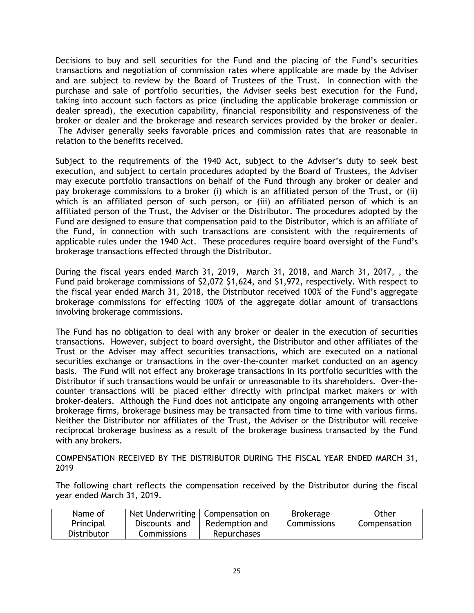Decisions to buy and sell securities for the Fund and the placing of the Fund's securities transactions and negotiation of commission rates where applicable are made by the Adviser and are subject to review by the Board of Trustees of the Trust. In connection with the purchase and sale of portfolio securities, the Adviser seeks best execution for the Fund, taking into account such factors as price (including the applicable brokerage commission or dealer spread), the execution capability, financial responsibility and responsiveness of the broker or dealer and the brokerage and research services provided by the broker or dealer. The Adviser generally seeks favorable prices and commission rates that are reasonable in relation to the benefits received.

Subject to the requirements of the 1940 Act, subject to the Adviser's duty to seek best execution, and subject to certain procedures adopted by the Board of Trustees, the Adviser may execute portfolio transactions on behalf of the Fund through any broker or dealer and pay brokerage commissions to a broker (i) which is an affiliated person of the Trust, or (ii) which is an affiliated person of such person, or (iii) an affiliated person of which is an affiliated person of the Trust, the Adviser or the Distributor. The procedures adopted by the Fund are designed to ensure that compensation paid to the Distributor, which is an affiliate of the Fund, in connection with such transactions are consistent with the requirements of applicable rules under the 1940 Act. These procedures require board oversight of the Fund's brokerage transactions effected through the Distributor.

During the fiscal years ended March 31, 2019, March 31, 2018, and March 31, 2017, , the Fund paid brokerage commissions of \$2,072 \$1,624, and \$1,972, respectively. With respect to the fiscal year ended March 31, 2018, the Distributor received 100% of the Fund's aggregate brokerage commissions for effecting 100% of the aggregate dollar amount of transactions involving brokerage commissions.

The Fund has no obligation to deal with any broker or dealer in the execution of securities transactions. However, subject to board oversight, the Distributor and other affiliates of the Trust or the Adviser may affect securities transactions, which are executed on a national securities exchange or transactions in the over-the-counter market conducted on an agency basis. The Fund will not effect any brokerage transactions in its portfolio securities with the Distributor if such transactions would be unfair or unreasonable to its shareholders. Over-thecounter transactions will be placed either directly with principal market makers or with broker-dealers. Although the Fund does not anticipate any ongoing arrangements with other brokerage firms, brokerage business may be transacted from time to time with various firms. Neither the Distributor nor affiliates of the Trust, the Adviser or the Distributor will receive reciprocal brokerage business as a result of the brokerage business transacted by the Fund with any brokers.

COMPENSATION RECEIVED BY THE DISTRIBUTOR DURING THE FISCAL YEAR ENDED MARCH 31, 2019

The following chart reflects the compensation received by the Distributor during the fiscal year ended March 31, 2019.

| Name of     | Net Underwriting   Compensation on |                    | <b>Brokerage</b> | Other        |
|-------------|------------------------------------|--------------------|------------------|--------------|
| Principal   | Discounts and                      | Redemption and     | Commissions      | Compensation |
| Distributor | <b>Commissions</b>                 | <b>Repurchases</b> |                  |              |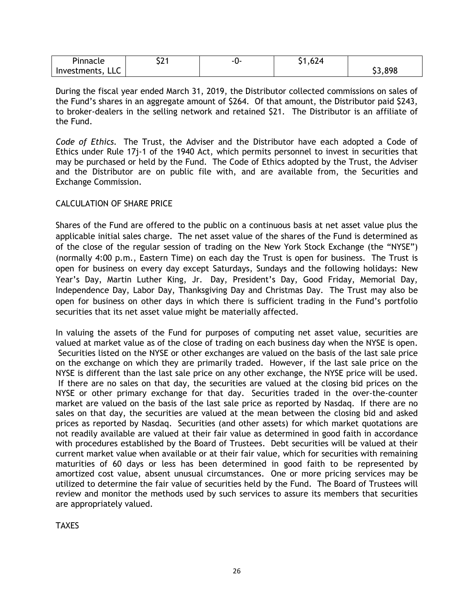| $\overline{\phantom{a}}$<br>Pinnacle | ໍ່<br>コムー | -11- | $\sim$<br>.624<br>~ ∎ |               |
|--------------------------------------|-----------|------|-----------------------|---------------|
| $\sim$ $\sim$<br>Investments,<br>LLC |           |      |                       | \$3,898<br>-- |

During the fiscal year ended March 31, 2019, the Distributor collected commissions on sales of the Fund's shares in an aggregate amount of \$264. Of that amount, the Distributor paid \$243, to broker-dealers in the selling network and retained \$21. The Distributor is an affiliate of the Fund.

*Code of Ethics.* The Trust, the Adviser and the Distributor have each adopted a Code of Ethics under Rule 17j-1 of the 1940 Act, which permits personnel to invest in securities that may be purchased or held by the Fund. The Code of Ethics adopted by the Trust, the Adviser and the Distributor are on public file with, and are available from, the Securities and Exchange Commission.

# CALCULATION OF SHARE PRICE

Shares of the Fund are offered to the public on a continuous basis at net asset value plus the applicable initial sales charge. The net asset value of the shares of the Fund is determined as of the close of the regular session of trading on the New York Stock Exchange (the "NYSE") (normally 4:00 p.m., Eastern Time) on each day the Trust is open for business. The Trust is open for business on every day except Saturdays, Sundays and the following holidays: New Year's Day, Martin Luther King, Jr. Day, President's Day, Good Friday, Memorial Day, Independence Day, Labor Day, Thanksgiving Day and Christmas Day. The Trust may also be open for business on other days in which there is sufficient trading in the Fund's portfolio securities that its net asset value might be materially affected.

In valuing the assets of the Fund for purposes of computing net asset value, securities are valued at market value as of the close of trading on each business day when the NYSE is open. Securities listed on the NYSE or other exchanges are valued on the basis of the last sale price on the exchange on which they are primarily traded. However, if the last sale price on the NYSE is different than the last sale price on any other exchange, the NYSE price will be used. If there are no sales on that day, the securities are valued at the closing bid prices on the NYSE or other primary exchange for that day. Securities traded in the over-the-counter market are valued on the basis of the last sale price as reported by Nasdaq. If there are no sales on that day, the securities are valued at the mean between the closing bid and asked prices as reported by Nasdaq. Securities (and other assets) for which market quotations are not readily available are valued at their fair value as determined in good faith in accordance with procedures established by the Board of Trustees. Debt securities will be valued at their current market value when available or at their fair value, which for securities with remaining maturities of 60 days or less has been determined in good faith to be represented by amortized cost value, absent unusual circumstances. One or more pricing services may be utilized to determine the fair value of securities held by the Fund. The Board of Trustees will review and monitor the methods used by such services to assure its members that securities are appropriately valued.

**TAXES**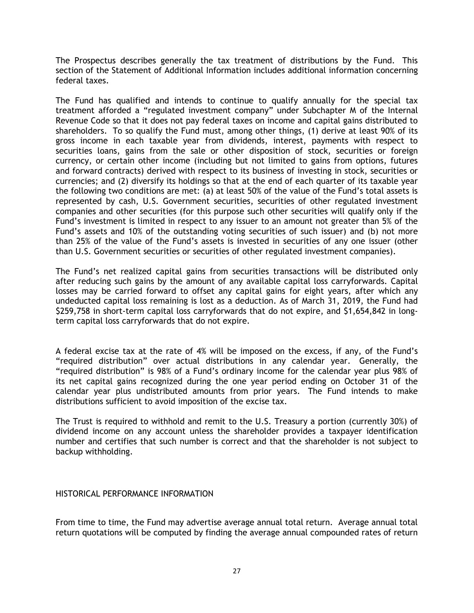The Prospectus describes generally the tax treatment of distributions by the Fund. This section of the Statement of Additional Information includes additional information concerning federal taxes.

The Fund has qualified and intends to continue to qualify annually for the special tax treatment afforded a "regulated investment company" under Subchapter M of the Internal Revenue Code so that it does not pay federal taxes on income and capital gains distributed to shareholders. To so qualify the Fund must, among other things, (1) derive at least 90% of its gross income in each taxable year from dividends, interest, payments with respect to securities loans, gains from the sale or other disposition of stock, securities or foreign currency, or certain other income (including but not limited to gains from options, futures and forward contracts) derived with respect to its business of investing in stock, securities or currencies; and (2) diversify its holdings so that at the end of each quarter of its taxable year the following two conditions are met: (a) at least 50% of the value of the Fund's total assets is represented by cash, U.S. Government securities, securities of other regulated investment companies and other securities (for this purpose such other securities will qualify only if the Fund's investment is limited in respect to any issuer to an amount not greater than 5% of the Fund's assets and 10% of the outstanding voting securities of such issuer) and (b) not more than 25% of the value of the Fund's assets is invested in securities of any one issuer (other than U.S. Government securities or securities of other regulated investment companies).

The Fund's net realized capital gains from securities transactions will be distributed only after reducing such gains by the amount of any available capital loss carryforwards. Capital losses may be carried forward to offset any capital gains for eight years, after which any undeducted capital loss remaining is lost as a deduction. As of March 31, 2019, the Fund had \$259,758 in short-term capital loss carryforwards that do not expire, and \$1,654,842 in longterm capital loss carryforwards that do not expire.

A federal excise tax at the rate of 4% will be imposed on the excess, if any, of the Fund's "required distribution" over actual distributions in any calendar year. Generally, the "required distribution" is 98% of a Fund's ordinary income for the calendar year plus 98% of its net capital gains recognized during the one year period ending on October 31 of the calendar year plus undistributed amounts from prior years. The Fund intends to make distributions sufficient to avoid imposition of the excise tax.

The Trust is required to withhold and remit to the U.S. Treasury a portion (currently 30%) of dividend income on any account unless the shareholder provides a taxpayer identification number and certifies that such number is correct and that the shareholder is not subject to backup withholding.

# HISTORICAL PERFORMANCE INFORMATION

From time to time, the Fund may advertise average annual total return. Average annual total return quotations will be computed by finding the average annual compounded rates of return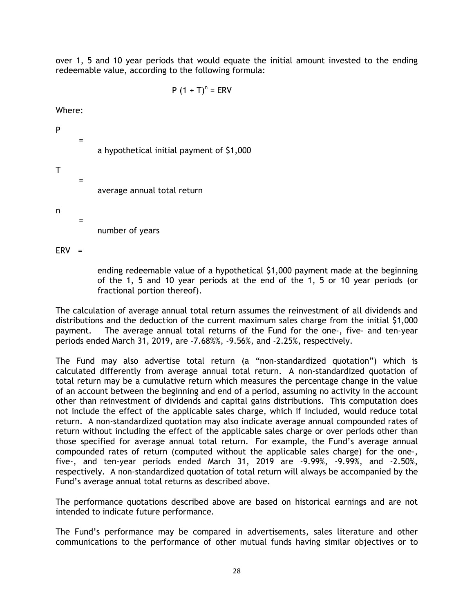over 1, 5 and 10 year periods that would equate the initial amount invested to the ending redeemable value, according to the following formula:

$$
P (1 + T)^n = ERV
$$

Where:

=

=

=

a hypothetical initial payment of \$1,000

T

P

average annual total return

n

number of years

 $ERV =$ 

ending redeemable value of a hypothetical \$1,000 payment made at the beginning of the 1, 5 and 10 year periods at the end of the 1, 5 or 10 year periods (or fractional portion thereof).

The calculation of average annual total return assumes the reinvestment of all dividends and distributions and the deduction of the current maximum sales charge from the initial \$1,000 payment. The average annual total returns of the Fund for the one-, five- and ten-year periods ended March 31, 2019, are -7.68%%, -9.56%, and -2.25%, respectively.

The Fund may also advertise total return (a "non-standardized quotation") which is calculated differently from average annual total return. A non-standardized quotation of total return may be a cumulative return which measures the percentage change in the value of an account between the beginning and end of a period, assuming no activity in the account other than reinvestment of dividends and capital gains distributions. This computation does not include the effect of the applicable sales charge, which if included, would reduce total return. A non-standardized quotation may also indicate average annual compounded rates of return without including the effect of the applicable sales charge or over periods other than those specified for average annual total return. For example, the Fund's average annual compounded rates of return (computed without the applicable sales charge) for the one-, five-, and ten-year periods ended March 31, 2019 are -9.99%, -9.99%, and -2.50%, respectively. A non-standardized quotation of total return will always be accompanied by the Fund's average annual total returns as described above.

The performance quotations described above are based on historical earnings and are not intended to indicate future performance.

The Fund's performance may be compared in advertisements, sales literature and other communications to the performance of other mutual funds having similar objectives or to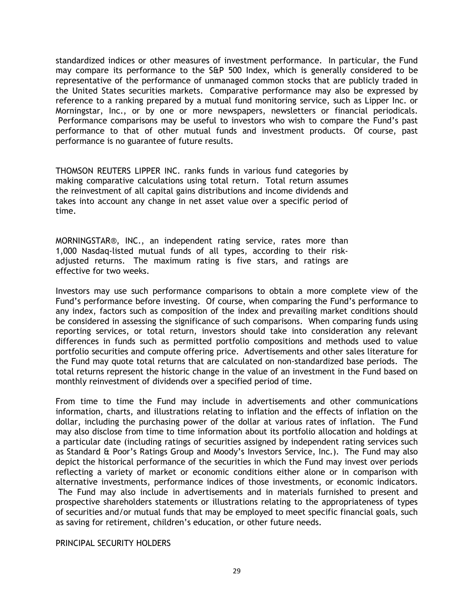standardized indices or other measures of investment performance. In particular, the Fund may compare its performance to the S&P 500 Index, which is generally considered to be representative of the performance of unmanaged common stocks that are publicly traded in the United States securities markets. Comparative performance may also be expressed by reference to a ranking prepared by a mutual fund monitoring service, such as Lipper Inc. or Morningstar, Inc., or by one or more newspapers, newsletters or financial periodicals. Performance comparisons may be useful to investors who wish to compare the Fund's past performance to that of other mutual funds and investment products. Of course, past performance is no guarantee of future results.

THOMSON REUTERS LIPPER INC. ranks funds in various fund categories by making comparative calculations using total return. Total return assumes the reinvestment of all capital gains distributions and income dividends and takes into account any change in net asset value over a specific period of time.

MORNINGSTAR®, INC., an independent rating service, rates more than 1,000 Nasdaq-listed mutual funds of all types, according to their riskadjusted returns. The maximum rating is five stars, and ratings are effective for two weeks.

Investors may use such performance comparisons to obtain a more complete view of the Fund's performance before investing. Of course, when comparing the Fund's performance to any index, factors such as composition of the index and prevailing market conditions should be considered in assessing the significance of such comparisons. When comparing funds using reporting services, or total return, investors should take into consideration any relevant differences in funds such as permitted portfolio compositions and methods used to value portfolio securities and compute offering price. Advertisements and other sales literature for the Fund may quote total returns that are calculated on non-standardized base periods. The total returns represent the historic change in the value of an investment in the Fund based on monthly reinvestment of dividends over a specified period of time.

From time to time the Fund may include in advertisements and other communications information, charts, and illustrations relating to inflation and the effects of inflation on the dollar, including the purchasing power of the dollar at various rates of inflation. The Fund may also disclose from time to time information about its portfolio allocation and holdings at a particular date (including ratings of securities assigned by independent rating services such as Standard & Poor's Ratings Group and Moody's Investors Service, Inc.). The Fund may also depict the historical performance of the securities in which the Fund may invest over periods reflecting a variety of market or economic conditions either alone or in comparison with alternative investments, performance indices of those investments, or economic indicators. The Fund may also include in advertisements and in materials furnished to present and prospective shareholders statements or illustrations relating to the appropriateness of types of securities and/or mutual funds that may be employed to meet specific financial goals, such as saving for retirement, children's education, or other future needs.

PRINCIPAL SECURITY HOLDERS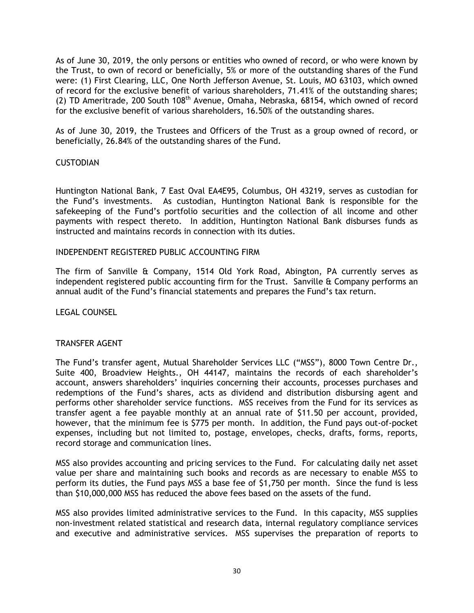As of June 30, 2019, the only persons or entities who owned of record, or who were known by the Trust, to own of record or beneficially, 5% or more of the outstanding shares of the Fund were: (1) First Clearing, LLC, One North Jefferson Avenue, St. Louis, MO 63103, which owned of record for the exclusive benefit of various shareholders, 71.41% of the outstanding shares; (2) TD Ameritrade, 200 South 108<sup>th</sup> Avenue, Omaha, Nebraska, 68154, which owned of record for the exclusive benefit of various shareholders, 16.50% of the outstanding shares.

As of June 30, 2019, the Trustees and Officers of the Trust as a group owned of record, or beneficially, 26.84% of the outstanding shares of the Fund.

## **CUSTODIAN**

Huntington National Bank, 7 East Oval EA4E95, Columbus, OH 43219, serves as custodian for the Fund's investments. As custodian, Huntington National Bank is responsible for the safekeeping of the Fund's portfolio securities and the collection of all income and other payments with respect thereto. In addition, Huntington National Bank disburses funds as instructed and maintains records in connection with its duties.

## INDEPENDENT REGISTERED PUBLIC ACCOUNTING FIRM

The firm of Sanville & Company, 1514 Old York Road, Abington, PA currently serves as independent registered public accounting firm for the Trust. Sanville & Company performs an annual audit of the Fund's financial statements and prepares the Fund's tax return.

LEGAL COUNSEL

# TRANSFER AGENT

The Fund's transfer agent, Mutual Shareholder Services LLC ("MSS"), 8000 Town Centre Dr., Suite 400, Broadview Heights., OH 44147, maintains the records of each shareholder's account, answers shareholders' inquiries concerning their accounts, processes purchases and redemptions of the Fund's shares, acts as dividend and distribution disbursing agent and performs other shareholder service functions. MSS receives from the Fund for its services as transfer agent a fee payable monthly at an annual rate of \$11.50 per account, provided, however, that the minimum fee is \$775 per month. In addition, the Fund pays out-of-pocket expenses, including but not limited to, postage, envelopes, checks, drafts, forms, reports, record storage and communication lines.

MSS also provides accounting and pricing services to the Fund. For calculating daily net asset value per share and maintaining such books and records as are necessary to enable MSS to perform its duties, the Fund pays MSS a base fee of \$1,750 per month. Since the fund is less than \$10,000,000 MSS has reduced the above fees based on the assets of the fund.

MSS also provides limited administrative services to the Fund. In this capacity, MSS supplies non-investment related statistical and research data, internal regulatory compliance services and executive and administrative services. MSS supervises the preparation of reports to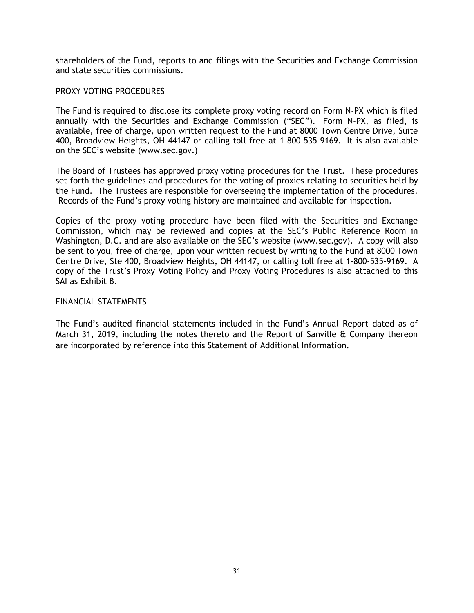shareholders of the Fund, reports to and filings with the Securities and Exchange Commission and state securities commissions.

## PROXY VOTING PROCEDURES

The Fund is required to disclose its complete proxy voting record on Form N-PX which is filed annually with the Securities and Exchange Commission ("SEC"). Form N-PX, as filed, is available, free of charge, upon written request to the Fund at 8000 Town Centre Drive, Suite 400, Broadview Heights, OH 44147 or calling toll free at 1-800-535-9169. It is also available on the SEC's website (www.sec.gov.)

The Board of Trustees has approved proxy voting procedures for the Trust. These procedures set forth the guidelines and procedures for the voting of proxies relating to securities held by the Fund. The Trustees are responsible for overseeing the implementation of the procedures. Records of the Fund's proxy voting history are maintained and available for inspection.

Copies of the proxy voting procedure have been filed with the Securities and Exchange Commission, which may be reviewed and copies at the SEC's Public Reference Room in Washington, D.C. and are also available on the SEC's website (www.sec.gov). A copy will also be sent to you, free of charge, upon your written request by writing to the Fund at 8000 Town Centre Drive, Ste 400, Broadview Heights, OH 44147, or calling toll free at 1-800-535-9169. A copy of the Trust's Proxy Voting Policy and Proxy Voting Procedures is also attached to this SAI as Exhibit B.

## FINANCIAL STATEMENTS

The Fund's audited financial statements included in the Fund's Annual Report dated as of March 31, 2019, including the notes thereto and the Report of Sanville & Company thereon are incorporated by reference into this Statement of Additional Information.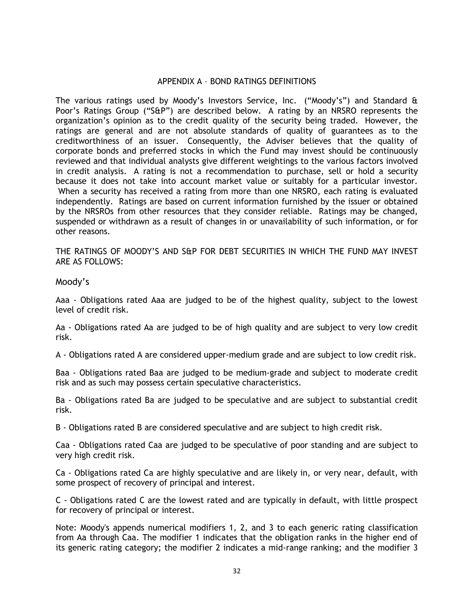## APPENDIX A – BOND RATINGS DEFINITIONS

The various ratings used by Moody's Investors Service, Inc. ("Moody's") and Standard & Poor's Ratings Group ("S&P") are described below. A rating by an NRSRO represents the organization's opinion as to the credit quality of the security being traded. However, the ratings are general and are not absolute standards of quality of guarantees as to the creditworthiness of an issuer. Consequently, the Adviser believes that the quality of corporate bonds and preferred stocks in which the Fund may invest should be continuously reviewed and that individual analysts give different weightings to the various factors involved in credit analysis. A rating is not a recommendation to purchase, sell or hold a security because it does not take into account market value or suitably for a particular investor. When a security has received a rating from more than one NRSRO, each rating is evaluated independently. Ratings are based on current information furnished by the issuer or obtained by the NRSROs from other resources that they consider reliable. Ratings may be changed, suspended or withdrawn as a result of changes in or unavailability of such information, or for other reasons.

THE RATINGS OF MOODY'S AND S&P FOR DEBT SECURITIES IN WHICH THE FUND MAY INVEST ARE AS FOLLOWS:

Moody's

Aaa - Obligations rated Aaa are judged to be of the highest quality, subject to the lowest level of credit risk.

Aa - Obligations rated Aa are judged to be of high quality and are subject to very low credit risk.

A - Obligations rated A are considered upper-medium grade and are subject to low credit risk.

Baa - Obligations rated Baa are judged to be medium-grade and subject to moderate credit risk and as such may possess certain speculative characteristics.

Ba - Obligations rated Ba are judged to be speculative and are subject to substantial credit risk.

B - Obligations rated B are considered speculative and are subject to high credit risk.

Caa - Obligations rated Caa are judged to be speculative of poor standing and are subject to very high credit risk.

Ca - Obligations rated Ca are highly speculative and are likely in, or very near, default, with some prospect of recovery of principal and interest.

C - Obligations rated C are the lowest rated and are typically in default, with little prospect for recovery of principal or interest.

Note: Moody's appends numerical modifiers 1, 2, and 3 to each generic rating classification from Aa through Caa. The modifier 1 indicates that the obligation ranks in the higher end of its generic rating category; the modifier 2 indicates a mid-range ranking; and the modifier 3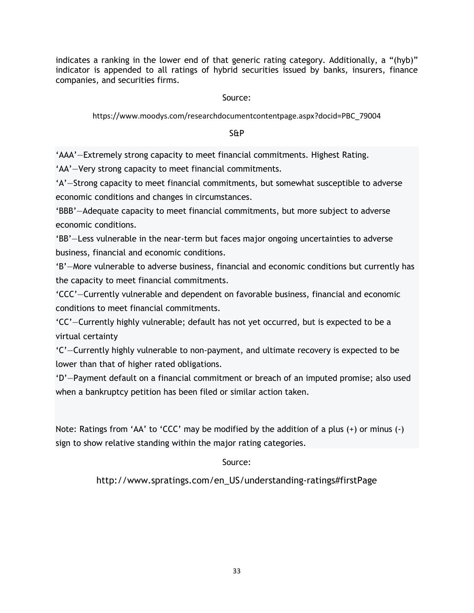indicates a ranking in the lower end of that generic rating category. Additionally, a "(hyb)" indicator is appended to all ratings of hybrid securities issued by banks, insurers, finance companies, and securities firms.

# Source:

# https://www.moodys.com/researchdocumentcontentpage.aspx?docid=PBC\_79004

# S&P

'AAA'—Extremely strong capacity to meet financial commitments. Highest Rating.

'AA'—Very strong capacity to meet financial commitments.

'A'—Strong capacity to meet financial commitments, but somewhat susceptible to adverse economic conditions and changes in circumstances.

'BBB'—Adequate capacity to meet financial commitments, but more subject to adverse economic conditions.

'BB'—Less vulnerable in the near-term but faces major ongoing uncertainties to adverse business, financial and economic conditions.

'B'—More vulnerable to adverse business, financial and economic conditions but currently has the capacity to meet financial commitments.

'CCC'—Currently vulnerable and dependent on favorable business, financial and economic conditions to meet financial commitments.

'CC'—Currently highly vulnerable; default has not yet occurred, but is expected to be a virtual certainty

'C'—Currently highly vulnerable to non-payment, and ultimate recovery is expected to be lower than that of higher rated obligations.

'D'—Payment default on a financial commitment or breach of an imputed promise; also used when a bankruptcy petition has been filed or similar action taken.

Note: Ratings from 'AA' to 'CCC' may be modified by the addition of a plus (+) or minus (-) sign to show relative standing within the major rating categories.

# Source:

http://www.spratings.com/en\_US/understanding-ratings#firstPage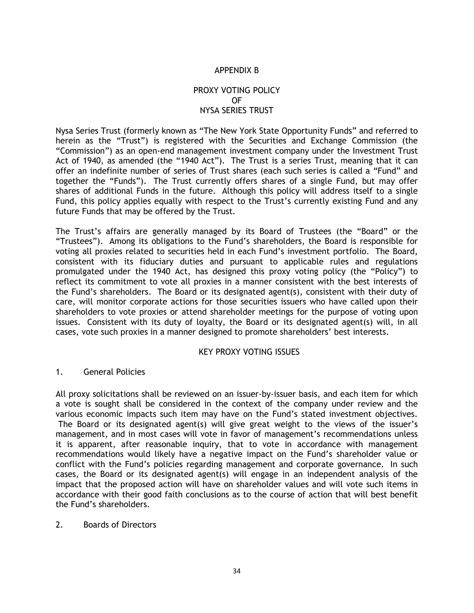## APPENDIX B

# PROXY VOTING POLICY OF NYSA SERIES TRUST

Nysa Series Trust (formerly known as "The New York State Opportunity Funds" and referred to herein as the "Trust") is registered with the Securities and Exchange Commission (the "Commission") as an open-end management investment company under the Investment Trust Act of 1940, as amended (the "1940 Act"). The Trust is a series Trust, meaning that it can offer an indefinite number of series of Trust shares (each such series is called a "Fund" and together the "Funds"). The Trust currently offers shares of a single Fund, but may offer shares of additional Funds in the future. Although this policy will address itself to a single Fund, this policy applies equally with respect to the Trust's currently existing Fund and any future Funds that may be offered by the Trust.

The Trust's affairs are generally managed by its Board of Trustees (the "Board" or the "Trustees"). Among its obligations to the Fund's shareholders, the Board is responsible for voting all proxies related to securities held in each Fund's investment portfolio. The Board, consistent with its fiduciary duties and pursuant to applicable rules and regulations promulgated under the 1940 Act, has designed this proxy voting policy (the "Policy") to reflect its commitment to vote all proxies in a manner consistent with the best interests of the Fund's shareholders. The Board or its designated agent(s), consistent with their duty of care, will monitor corporate actions for those securities issuers who have called upon their shareholders to vote proxies or attend shareholder meetings for the purpose of voting upon issues. Consistent with its duty of loyalty, the Board or its designated agent(s) will, in all cases, vote such proxies in a manner designed to promote shareholders' best interests.

#### KEY PROXY VOTING ISSUES

#### 1. General Policies

All proxy solicitations shall be reviewed on an issuer-by-issuer basis, and each item for which a vote is sought shall be considered in the context of the company under review and the various economic impacts such item may have on the Fund's stated investment objectives. The Board or its designated agent(s) will give great weight to the views of the issuer's management, and in most cases will vote in favor of management's recommendations unless it is apparent, after reasonable inquiry, that to vote in accordance with management recommendations would likely have a negative impact on the Fund's shareholder value or conflict with the Fund's policies regarding management and corporate governance. In such cases, the Board or its designated agent(s) will engage in an independent analysis of the impact that the proposed action will have on shareholder values and will vote such items in accordance with their good faith conclusions as to the course of action that will best benefit the Fund's shareholders.

#### 2. Boards of Directors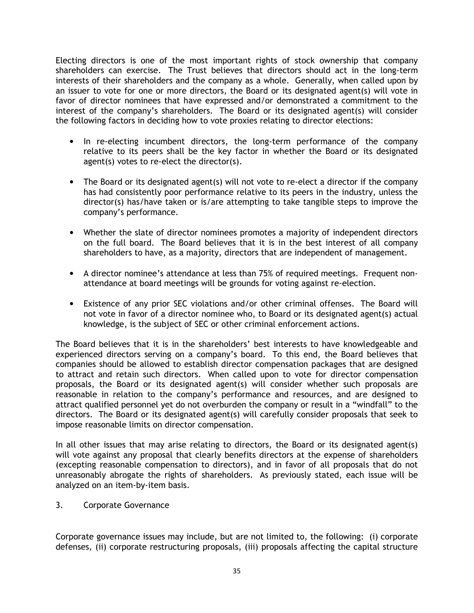Electing directors is one of the most important rights of stock ownership that company shareholders can exercise. The Trust believes that directors should act in the long-term interests of their shareholders and the company as a whole. Generally, when called upon by an issuer to vote for one or more directors, the Board or its designated agent(s) will vote in favor of director nominees that have expressed and/or demonstrated a commitment to the interest of the company's shareholders. The Board or its designated agent(s) will consider the following factors in deciding how to vote proxies relating to director elections:

- In re-electing incumbent directors, the long-term performance of the company relative to its peers shall be the key factor in whether the Board or its designated agent(s) votes to re-elect the director(s).
- The Board or its designated agent(s) will not vote to re-elect a director if the company has had consistently poor performance relative to its peers in the industry, unless the director(s) has/have taken or is/are attempting to take tangible steps to improve the company's performance.
- Whether the slate of director nominees promotes a majority of independent directors on the full board. The Board believes that it is in the best interest of all company shareholders to have, as a majority, directors that are independent of management.
- A director nominee's attendance at less than 75% of required meetings. Frequent nonattendance at board meetings will be grounds for voting against re-election.
- Existence of any prior SEC violations and/or other criminal offenses. The Board will not vote in favor of a director nominee who, to Board or its designated agent(s) actual knowledge, is the subject of SEC or other criminal enforcement actions.

The Board believes that it is in the shareholders' best interests to have knowledgeable and experienced directors serving on a company's board. To this end, the Board believes that companies should be allowed to establish director compensation packages that are designed to attract and retain such directors. When called upon to vote for director compensation proposals, the Board or its designated agent(s) will consider whether such proposals are reasonable in relation to the company's performance and resources, and are designed to attract qualified personnel yet do not overburden the company or result in a "windfall" to the directors. The Board or its designated agent(s) will carefully consider proposals that seek to impose reasonable limits on director compensation.

In all other issues that may arise relating to directors, the Board or its designated agent(s) will vote against any proposal that clearly benefits directors at the expense of shareholders (excepting reasonable compensation to directors), and in favor of all proposals that do not unreasonably abrogate the rights of shareholders. As previously stated, each issue will be analyzed on an item-by-item basis.

3. Corporate Governance

Corporate governance issues may include, but are not limited to, the following: (i) corporate defenses, (ii) corporate restructuring proposals, (iii) proposals affecting the capital structure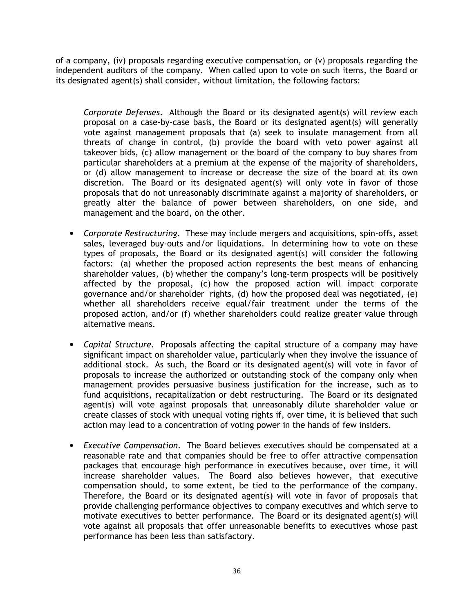of a company, (iv) proposals regarding executive compensation, or (v) proposals regarding the independent auditors of the company. When called upon to vote on such items, the Board or its designated agent(s) shall consider, without limitation, the following factors:

*Corporate Defenses*. Although the Board or its designated agent(s) will review each proposal on a case-by-case basis, the Board or its designated agent(s) will generally vote against management proposals that (a) seek to insulate management from all threats of change in control, (b) provide the board with veto power against all takeover bids, (c) allow management or the board of the company to buy shares from particular shareholders at a premium at the expense of the majority of shareholders, or (d) allow management to increase or decrease the size of the board at its own discretion. The Board or its designated agent(s) will only vote in favor of those proposals that do not unreasonably discriminate against a majority of shareholders, or greatly alter the balance of power between shareholders, on one side, and management and the board, on the other.

- *Corporate Restructuring*. These may include mergers and acquisitions, spin-offs, asset sales, leveraged buy-outs and/or liquidations. In determining how to vote on these types of proposals, the Board or its designated agent(s) will consider the following factors: (a) whether the proposed action represents the best means of enhancing shareholder values, (b) whether the company's long-term prospects will be positively affected by the proposal, (c) how the proposed action will impact corporate governance and/or shareholder rights, (d) how the proposed deal was negotiated, (e) whether all shareholders receive equal/fair treatment under the terms of the proposed action, and/or (f) whether shareholders could realize greater value through alternative means.
- *Capital Structure*. Proposals affecting the capital structure of a company may have significant impact on shareholder value, particularly when they involve the issuance of additional stock. As such, the Board or its designated agent(s) will vote in favor of proposals to increase the authorized or outstanding stock of the company only when management provides persuasive business justification for the increase, such as to fund acquisitions, recapitalization or debt restructuring. The Board or its designated agent(s) will vote against proposals that unreasonably dilute shareholder value or create classes of stock with unequal voting rights if, over time, it is believed that such action may lead to a concentration of voting power in the hands of few insiders.
- *Executive Compensation*. The Board believes executives should be compensated at a reasonable rate and that companies should be free to offer attractive compensation packages that encourage high performance in executives because, over time, it will increase shareholder values. The Board also believes however, that executive compensation should, to some extent, be tied to the performance of the company. Therefore, the Board or its designated agent(s) will vote in favor of proposals that provide challenging performance objectives to company executives and which serve to motivate executives to better performance. The Board or its designated agent(s) will vote against all proposals that offer unreasonable benefits to executives whose past performance has been less than satisfactory.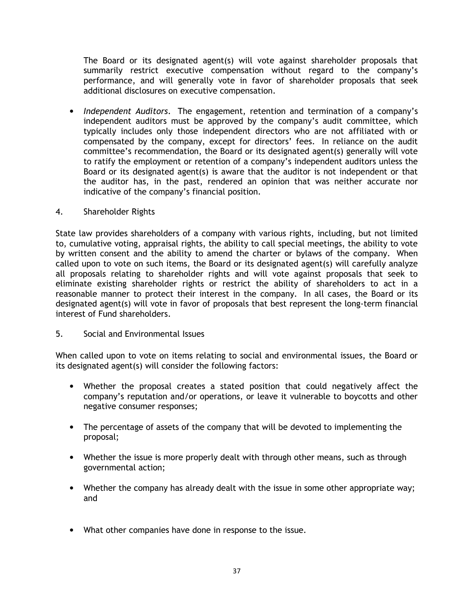The Board or its designated agent(s) will vote against shareholder proposals that summarily restrict executive compensation without regard to the company's performance, and will generally vote in favor of shareholder proposals that seek additional disclosures on executive compensation.

• *Independent Auditors*. The engagement, retention and termination of a company's independent auditors must be approved by the company's audit committee, which typically includes only those independent directors who are not affiliated with or compensated by the company, except for directors' fees. In reliance on the audit committee's recommendation, the Board or its designated agent(s) generally will vote to ratify the employment or retention of a company's independent auditors unless the Board or its designated agent(s) is aware that the auditor is not independent or that the auditor has, in the past, rendered an opinion that was neither accurate nor indicative of the company's financial position.

## 4. Shareholder Rights

State law provides shareholders of a company with various rights, including, but not limited to, cumulative voting, appraisal rights, the ability to call special meetings, the ability to vote by written consent and the ability to amend the charter or bylaws of the company. When called upon to vote on such items, the Board or its designated agent(s) will carefully analyze all proposals relating to shareholder rights and will vote against proposals that seek to eliminate existing shareholder rights or restrict the ability of shareholders to act in a reasonable manner to protect their interest in the company. In all cases, the Board or its designated agent(s) will vote in favor of proposals that best represent the long-term financial interest of Fund shareholders.

# 5. Social and Environmental Issues

When called upon to vote on items relating to social and environmental issues, the Board or its designated agent(s) will consider the following factors:

- Whether the proposal creates a stated position that could negatively affect the company's reputation and/or operations, or leave it vulnerable to boycotts and other negative consumer responses;
- The percentage of assets of the company that will be devoted to implementing the proposal;
- Whether the issue is more properly dealt with through other means, such as through governmental action;
- Whether the company has already dealt with the issue in some other appropriate way; and
- What other companies have done in response to the issue.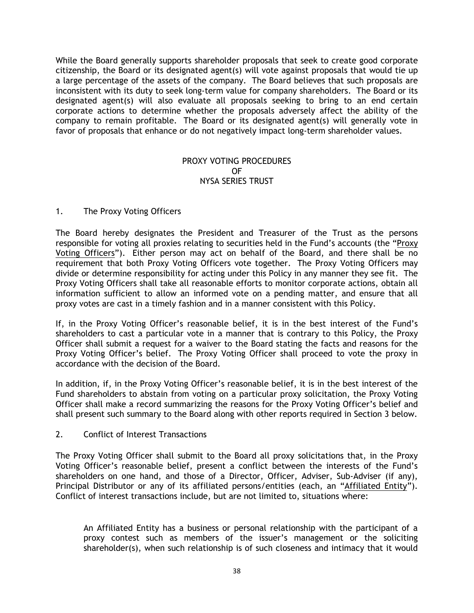While the Board generally supports shareholder proposals that seek to create good corporate citizenship, the Board or its designated agent(s) will vote against proposals that would tie up a large percentage of the assets of the company. The Board believes that such proposals are inconsistent with its duty to seek long-term value for company shareholders. The Board or its designated agent(s) will also evaluate all proposals seeking to bring to an end certain corporate actions to determine whether the proposals adversely affect the ability of the company to remain profitable. The Board or its designated agent(s) will generally vote in favor of proposals that enhance or do not negatively impact long-term shareholder values.

## PROXY VOTING PROCEDURES OF NYSA SERIES TRUST

# 1. The Proxy Voting Officers

The Board hereby designates the President and Treasurer of the Trust as the persons responsible for voting all proxies relating to securities held in the Fund's accounts (the "Proxy Voting Officers"). Either person may act on behalf of the Board, and there shall be no requirement that both Proxy Voting Officers vote together. The Proxy Voting Officers may divide or determine responsibility for acting under this Policy in any manner they see fit. The Proxy Voting Officers shall take all reasonable efforts to monitor corporate actions, obtain all information sufficient to allow an informed vote on a pending matter, and ensure that all proxy votes are cast in a timely fashion and in a manner consistent with this Policy.

If, in the Proxy Voting Officer's reasonable belief, it is in the best interest of the Fund's shareholders to cast a particular vote in a manner that is contrary to this Policy, the Proxy Officer shall submit a request for a waiver to the Board stating the facts and reasons for the Proxy Voting Officer's belief. The Proxy Voting Officer shall proceed to vote the proxy in accordance with the decision of the Board.

In addition, if, in the Proxy Voting Officer's reasonable belief, it is in the best interest of the Fund shareholders to abstain from voting on a particular proxy solicitation, the Proxy Voting Officer shall make a record summarizing the reasons for the Proxy Voting Officer's belief and shall present such summary to the Board along with other reports required in Section 3 below.

# 2. Conflict of Interest Transactions

The Proxy Voting Officer shall submit to the Board all proxy solicitations that, in the Proxy Voting Officer's reasonable belief, present a conflict between the interests of the Fund's shareholders on one hand, and those of a Director, Officer, Adviser, Sub-Adviser (if any), Principal Distributor or any of its affiliated persons/entities (each, an "Affiliated Entity"). Conflict of interest transactions include, but are not limited to, situations where:

An Affiliated Entity has a business or personal relationship with the participant of a proxy contest such as members of the issuer's management or the soliciting shareholder(s), when such relationship is of such closeness and intimacy that it would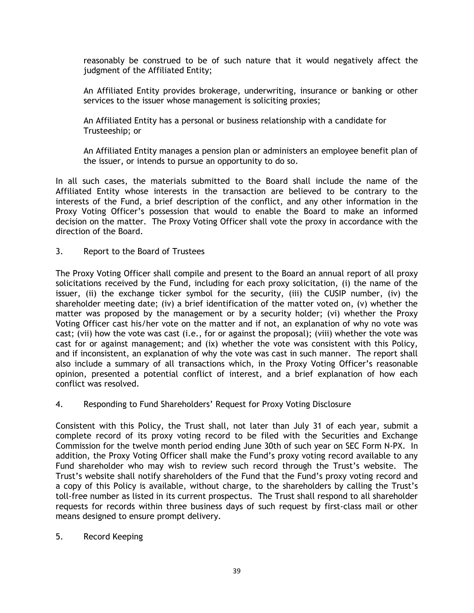reasonably be construed to be of such nature that it would negatively affect the judgment of the Affiliated Entity;

An Affiliated Entity provides brokerage, underwriting, insurance or banking or other services to the issuer whose management is soliciting proxies;

An Affiliated Entity has a personal or business relationship with a candidate for Trusteeship; or

An Affiliated Entity manages a pension plan or administers an employee benefit plan of the issuer, or intends to pursue an opportunity to do so.

In all such cases, the materials submitted to the Board shall include the name of the Affiliated Entity whose interests in the transaction are believed to be contrary to the interests of the Fund, a brief description of the conflict, and any other information in the Proxy Voting Officer's possession that would to enable the Board to make an informed decision on the matter. The Proxy Voting Officer shall vote the proxy in accordance with the direction of the Board.

3. Report to the Board of Trustees

The Proxy Voting Officer shall compile and present to the Board an annual report of all proxy solicitations received by the Fund, including for each proxy solicitation, (i) the name of the issuer, (ii) the exchange ticker symbol for the security, (iii) the CUSIP number, (iv) the shareholder meeting date; (iv) a brief identification of the matter voted on, (v) whether the matter was proposed by the management or by a security holder; (vi) whether the Proxy Voting Officer cast his/her vote on the matter and if not, an explanation of why no vote was cast; (vii) how the vote was cast (i.e., for or against the proposal); (viii) whether the vote was cast for or against management; and (ix) whether the vote was consistent with this Policy, and if inconsistent, an explanation of why the vote was cast in such manner. The report shall also include a summary of all transactions which, in the Proxy Voting Officer's reasonable opinion, presented a potential conflict of interest, and a brief explanation of how each conflict was resolved.

4. Responding to Fund Shareholders' Request for Proxy Voting Disclosure

Consistent with this Policy, the Trust shall, not later than July 31 of each year, submit a complete record of its proxy voting record to be filed with the Securities and Exchange Commission for the twelve month period ending June 30th of such year on SEC Form N-PX. In addition, the Proxy Voting Officer shall make the Fund's proxy voting record available to any Fund shareholder who may wish to review such record through the Trust's website. The Trust's website shall notify shareholders of the Fund that the Fund's proxy voting record and a copy of this Policy is available, without charge, to the shareholders by calling the Trust's toll-free number as listed in its current prospectus. The Trust shall respond to all shareholder requests for records within three business days of such request by first-class mail or other means designed to ensure prompt delivery.

5. Record Keeping